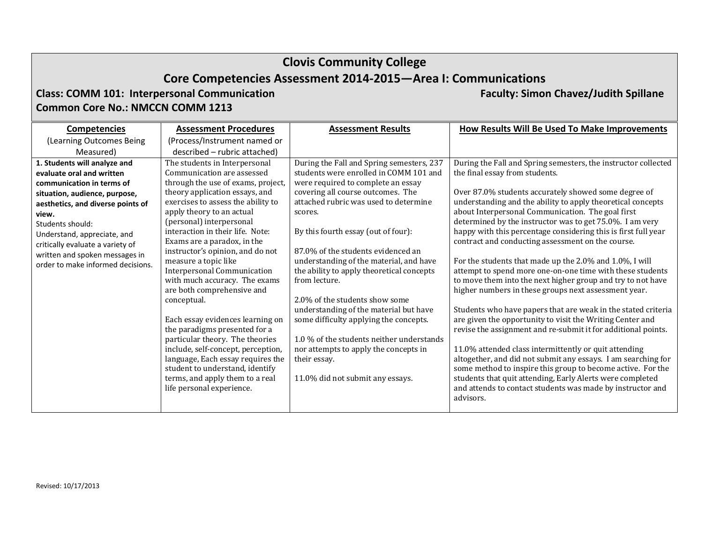# **Clovis Community College Core Competencies Assessment 2014‐2015—Area I: Communications**

**Class: COMM 101: Interpersonal Communication Faculty: Simon Chavez/Judith Spillane Common Core No.: NMCCN COMM 1213**

#### **Competencies** (Learning Outcomes Being Measured) **Assessment Procedures**(Process/Instrument named or described – rubric attached) **Assessment Results How Results Will Be Used To Make Improvements 1. Students will analyze and evaluate oral and written communication in terms of situation, audience, purpose, aesthetics, and diverse points of view.**Students should: Understand, appreciate, and critically evaluate <sup>a</sup> variety of written and spoken messages in order to make informed decisions. The students in Interpersonal Communication are assessed through the use of exams, project. theory application essays, and exercises to assess the ability to apply theory to an actual (personal) interpersonal interaction in their life. Note: Exams are a paradox, in the instructor's opinion, and do not measure a topic like Interpersonal Communication with much accuracy. The exams are both comprehensive and conceptual. Each essay evidences learning on the paradigms presented for a particular theory. The theories include, self-concept, perception, language, Each essay requires the student to understand, identify terms, and apply them to a real life personal experience. During the Fall and Spring semesters, 237 students were enrolled in COMM 101 and were required to complete an essay covering all course outcomes. The attached rubric was used to determine scores. By this fourth essay (out of four): 87.0% of the students evidenced an understanding of the material, and have the ability to apply theoretical concepts from lecture. 2.0% of the students show some understanding of the material but have some difficulty applying the concepts. 1.0 % of the students neither understands nor attempts to apply the concepts in their essay. 11.0% did not submit any essays. During the Fall and Spring semesters, the instructor collected the final essay from students. Over 87.0% students accurately showed some degree of understanding and the ability to apply theoretical concepts about Interpersonal Communication. The goal first determined by the instructor was to get  $75.0\%$ . I am very happy with this percentage considering this is first full year contract and conducting assessment on the course. For the students that made up the  $2.0\%$  and  $1.0\%$ , I will attempt to spend more one-on-one time with these students to move them into the next higher group and try to not have higher numbers in these groups next assessment year. Students who have papers that are weak in the stated criteria are given the opportunity to visit the Writing Center and revise the assignment and re-submit it for additional points. 11.0% attended class intermittently or quit attending altogether, and did not submit any essays. I am searching for some method to inspire this group to become active. For the students that quit attending, Early Alerts were completed and attends to contact students was made by instructor and advisors.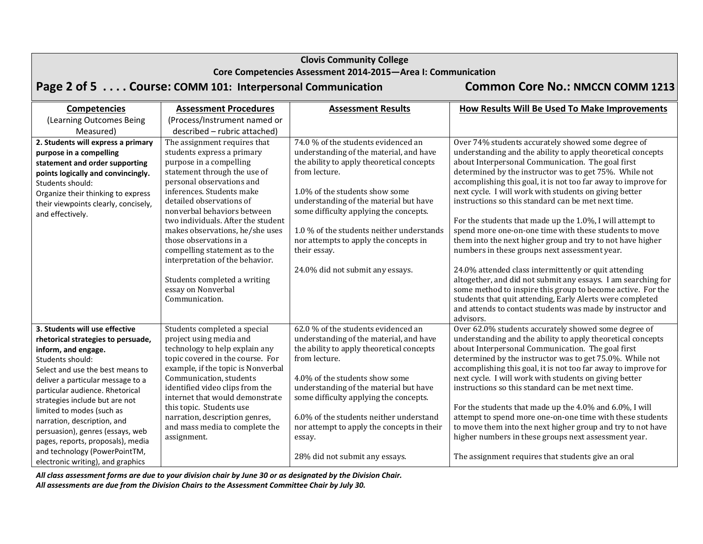#### **Core Competencies Assessment 2014‐2015—Area I: Communication**

# Page 2 of 5 . . . . Course: COMM 101: Interpersonal Communication Common Core No.: NMCCN COMM 1213

| <b>Competencies</b>                                                                                                                                                                                                                                                                                                                                                                                | <b>Assessment Procedures</b>                                                                                                                                                                                                                                                                                                                                                                                                                        | <b>Assessment Results</b>                                                                                                                                                                                                                                                                                                                                                                                    | How Results Will Be Used To Make Improvements                                                                                                                                                                                                                                                                                                                                                                                                                                                                                                                                                                                                                                                                                                                                       |
|----------------------------------------------------------------------------------------------------------------------------------------------------------------------------------------------------------------------------------------------------------------------------------------------------------------------------------------------------------------------------------------------------|-----------------------------------------------------------------------------------------------------------------------------------------------------------------------------------------------------------------------------------------------------------------------------------------------------------------------------------------------------------------------------------------------------------------------------------------------------|--------------------------------------------------------------------------------------------------------------------------------------------------------------------------------------------------------------------------------------------------------------------------------------------------------------------------------------------------------------------------------------------------------------|-------------------------------------------------------------------------------------------------------------------------------------------------------------------------------------------------------------------------------------------------------------------------------------------------------------------------------------------------------------------------------------------------------------------------------------------------------------------------------------------------------------------------------------------------------------------------------------------------------------------------------------------------------------------------------------------------------------------------------------------------------------------------------------|
| (Learning Outcomes Being                                                                                                                                                                                                                                                                                                                                                                           | (Process/Instrument named or                                                                                                                                                                                                                                                                                                                                                                                                                        |                                                                                                                                                                                                                                                                                                                                                                                                              |                                                                                                                                                                                                                                                                                                                                                                                                                                                                                                                                                                                                                                                                                                                                                                                     |
| Measured)                                                                                                                                                                                                                                                                                                                                                                                          | described - rubric attached)                                                                                                                                                                                                                                                                                                                                                                                                                        |                                                                                                                                                                                                                                                                                                                                                                                                              |                                                                                                                                                                                                                                                                                                                                                                                                                                                                                                                                                                                                                                                                                                                                                                                     |
| 2. Students will express a primary<br>purpose in a compelling<br>statement and order supporting<br>points logically and convincingly.<br>Students should:<br>Organize their thinking to express<br>their viewpoints clearly, concisely,<br>and effectively.                                                                                                                                        | The assignment requires that<br>students express a primary<br>purpose in a compelling<br>statement through the use of<br>personal observations and<br>inferences. Students make<br>detailed observations of<br>nonverbal behaviors between<br>two individuals. After the student<br>makes observations, he/she uses<br>those observations in a<br>compelling statement as to the<br>interpretation of the behavior.<br>Students completed a writing | 74.0 % of the students evidenced an<br>understanding of the material, and have<br>the ability to apply theoretical concepts<br>from lecture.<br>1.0% of the students show some<br>understanding of the material but have<br>some difficulty applying the concepts.<br>1.0 % of the students neither understands<br>nor attempts to apply the concepts in<br>their essay.<br>24.0% did not submit any essays. | Over 74% students accurately showed some degree of<br>understanding and the ability to apply theoretical concepts<br>about Interpersonal Communication. The goal first<br>determined by the instructor was to get 75%. While not<br>accomplishing this goal, it is not too far away to improve for<br>next cycle. I will work with students on giving better<br>instructions so this standard can be met next time.<br>For the students that made up the 1.0%, I will attempt to<br>spend more one-on-one time with these students to move<br>them into the next higher group and try to not have higher<br>numbers in these groups next assessment year.<br>24.0% attended class intermittently or quit attending<br>altogether, and did not submit any essays. I am searching for |
|                                                                                                                                                                                                                                                                                                                                                                                                    | essay on Nonverbal<br>Communication.                                                                                                                                                                                                                                                                                                                                                                                                                |                                                                                                                                                                                                                                                                                                                                                                                                              | some method to inspire this group to become active. For the<br>students that quit attending, Early Alerts were completed<br>and attends to contact students was made by instructor and<br>advisors.                                                                                                                                                                                                                                                                                                                                                                                                                                                                                                                                                                                 |
| 3. Students will use effective<br>rhetorical strategies to persuade,<br>inform, and engage.<br>Students should:<br>Select and use the best means to<br>deliver a particular message to a<br>particular audience. Rhetorical<br>strategies include but are not<br>limited to modes (such as<br>narration, description, and<br>persuasion), genres (essays, web<br>pages, reports, proposals), media | Students completed a special<br>project using media and<br>technology to help explain any<br>topic covered in the course. For<br>example, if the topic is Nonverbal<br>Communication, students<br>identified video clips from the<br>internet that would demonstrate<br>this topic. Students use<br>narration, description genres,<br>and mass media to complete the<br>assignment.                                                                 | 62.0 % of the students evidenced an<br>understanding of the material, and have<br>the ability to apply theoretical concepts<br>from lecture.<br>4.0% of the students show some<br>understanding of the material but have<br>some difficulty applying the concepts.<br>6.0% of the students neither understand<br>nor attempt to apply the concepts in their<br>essay.                                        | Over 62.0% students accurately showed some degree of<br>understanding and the ability to apply theoretical concepts<br>about Interpersonal Communication. The goal first<br>determined by the instructor was to get 75.0%. While not<br>accomplishing this goal, it is not too far away to improve for<br>next cycle. I will work with students on giving better<br>instructions so this standard can be met next time.<br>For the students that made up the 4.0% and 6.0%, I will<br>attempt to spend more one-on-one time with these students<br>to move them into the next higher group and try to not have<br>higher numbers in these groups next assessment year.                                                                                                              |
| and technology (PowerPointTM,<br>electronic writing), and graphics                                                                                                                                                                                                                                                                                                                                 |                                                                                                                                                                                                                                                                                                                                                                                                                                                     | 28% did not submit any essays.                                                                                                                                                                                                                                                                                                                                                                               | The assignment requires that students give an oral                                                                                                                                                                                                                                                                                                                                                                                                                                                                                                                                                                                                                                                                                                                                  |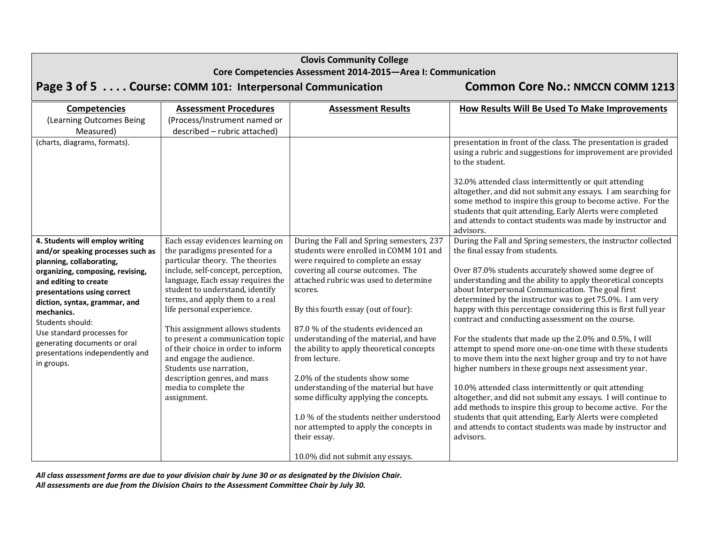|                                                                                                                                                                                                                                             | <b>Clovis Community College</b><br>Core Competencies Assessment 2014-2015-Area I: Communication                                                                                                                                                                                    |                                                                                                                                                                                                                                                                                                                                                                          |                                                                                                                                                                                                                                                                                                                                                                                                                                                                                                                                                                              |  |  |  |  |  |  |
|---------------------------------------------------------------------------------------------------------------------------------------------------------------------------------------------------------------------------------------------|------------------------------------------------------------------------------------------------------------------------------------------------------------------------------------------------------------------------------------------------------------------------------------|--------------------------------------------------------------------------------------------------------------------------------------------------------------------------------------------------------------------------------------------------------------------------------------------------------------------------------------------------------------------------|------------------------------------------------------------------------------------------------------------------------------------------------------------------------------------------------------------------------------------------------------------------------------------------------------------------------------------------------------------------------------------------------------------------------------------------------------------------------------------------------------------------------------------------------------------------------------|--|--|--|--|--|--|
|                                                                                                                                                                                                                                             |                                                                                                                                                                                                                                                                                    |                                                                                                                                                                                                                                                                                                                                                                          |                                                                                                                                                                                                                                                                                                                                                                                                                                                                                                                                                                              |  |  |  |  |  |  |
|                                                                                                                                                                                                                                             | Page 3 of 5 Course: COMM 101: Interpersonal Communication                                                                                                                                                                                                                          | <b>Common Core No.: NMCCN COMM 1213</b>                                                                                                                                                                                                                                                                                                                                  |                                                                                                                                                                                                                                                                                                                                                                                                                                                                                                                                                                              |  |  |  |  |  |  |
| <b>Competencies</b>                                                                                                                                                                                                                         | <b>Assessment Procedures</b>                                                                                                                                                                                                                                                       | <b>Assessment Results</b>                                                                                                                                                                                                                                                                                                                                                | How Results Will Be Used To Make Improvements                                                                                                                                                                                                                                                                                                                                                                                                                                                                                                                                |  |  |  |  |  |  |
| (Learning Outcomes Being<br>Measured)                                                                                                                                                                                                       | (Process/Instrument named or<br>described - rubric attached)                                                                                                                                                                                                                       |                                                                                                                                                                                                                                                                                                                                                                          |                                                                                                                                                                                                                                                                                                                                                                                                                                                                                                                                                                              |  |  |  |  |  |  |
| (charts, diagrams, formats).                                                                                                                                                                                                                |                                                                                                                                                                                                                                                                                    |                                                                                                                                                                                                                                                                                                                                                                          | presentation in front of the class. The presentation is graded<br>using a rubric and suggestions for improvement are provided<br>to the student.                                                                                                                                                                                                                                                                                                                                                                                                                             |  |  |  |  |  |  |
|                                                                                                                                                                                                                                             |                                                                                                                                                                                                                                                                                    |                                                                                                                                                                                                                                                                                                                                                                          | 32.0% attended class intermittently or quit attending<br>altogether, and did not submit any essays. I am searching for<br>some method to inspire this group to become active. For the<br>students that quit attending, Early Alerts were completed<br>and attends to contact students was made by instructor and<br>advisors.                                                                                                                                                                                                                                                |  |  |  |  |  |  |
| 4. Students will employ writing<br>and/or speaking processes such as<br>planning, collaborating,<br>organizing, composing, revising,<br>and editing to create<br>presentations using correct<br>diction, syntax, grammar, and<br>mechanics. | Each essay evidences learning on<br>the paradigms presented for a<br>particular theory. The theories<br>include, self-concept, perception,<br>language, Each essay requires the<br>student to understand, identify<br>terms, and apply them to a real<br>life personal experience. | During the Fall and Spring semesters, 237<br>students were enrolled in COMM 101 and<br>were required to complete an essay<br>covering all course outcomes. The<br>attached rubric was used to determine<br>scores.<br>By this fourth essay (out of four):                                                                                                                | During the Fall and Spring semesters, the instructor collected<br>the final essay from students.<br>Over 87.0% students accurately showed some degree of<br>understanding and the ability to apply theoretical concepts<br>about Interpersonal Communication. The goal first<br>determined by the instructor was to get 75.0%. I am very<br>happy with this percentage considering this is first full year<br>contract and conducting assessment on the course.                                                                                                              |  |  |  |  |  |  |
| Students should:<br>Use standard processes for<br>generating documents or oral<br>presentations independently and<br>in groups.                                                                                                             | This assignment allows students<br>to present a communication topic<br>of their choice in order to inform<br>and engage the audience.<br>Students use narration,<br>description genres, and mass<br>media to complete the<br>assignment.                                           | 87.0 % of the students evidenced an<br>understanding of the material, and have<br>the ability to apply theoretical concepts<br>from lecture.<br>2.0% of the students show some<br>understanding of the material but have<br>some difficulty applying the concepts.<br>1.0 % of the students neither understood<br>nor attempted to apply the concepts in<br>their essay. | For the students that made up the 2.0% and 0.5%, I will<br>attempt to spend more one-on-one time with these students<br>to move them into the next higher group and try to not have<br>higher numbers in these groups next assessment year.<br>10.0% attended class intermittently or quit attending<br>altogether, and did not submit any essays. I will continue to<br>add methods to inspire this group to become active. For the<br>students that quit attending, Early Alerts were completed<br>and attends to contact students was made by instructor and<br>advisors. |  |  |  |  |  |  |
|                                                                                                                                                                                                                                             |                                                                                                                                                                                                                                                                                    | 10.0% did not submit any essays.                                                                                                                                                                                                                                                                                                                                         |                                                                                                                                                                                                                                                                                                                                                                                                                                                                                                                                                                              |  |  |  |  |  |  |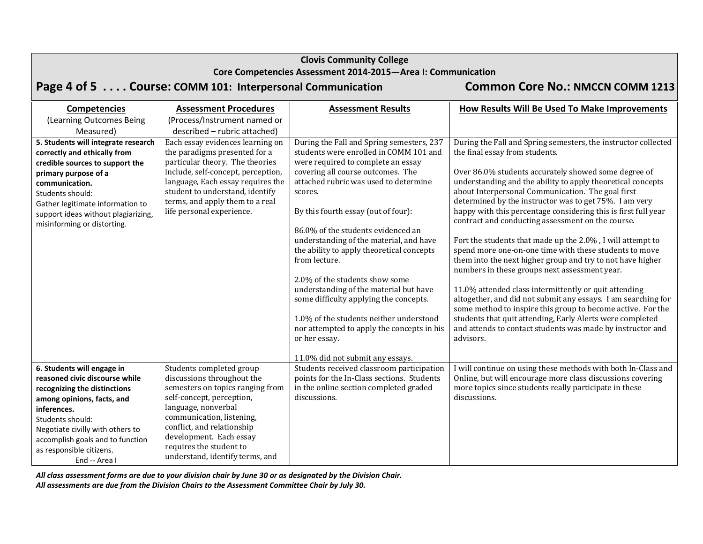| <b>Clovis Community College</b><br>Core Competencies Assessment 2014-2015-Area I: Communication                                                                                                                                                                                    |                                                                                                                                                                                                                                                                                                    |                                                                                                                                                                                                                                                                                                                                                                                                                                                                                                                                                                                                                                 |                                                                                                                                                                                                                                                                                                                                                                                                                                                                                                                                                                                                                                                                                                                                                                                                                                                                                                                                                                     |  |  |  |  |
|------------------------------------------------------------------------------------------------------------------------------------------------------------------------------------------------------------------------------------------------------------------------------------|----------------------------------------------------------------------------------------------------------------------------------------------------------------------------------------------------------------------------------------------------------------------------------------------------|---------------------------------------------------------------------------------------------------------------------------------------------------------------------------------------------------------------------------------------------------------------------------------------------------------------------------------------------------------------------------------------------------------------------------------------------------------------------------------------------------------------------------------------------------------------------------------------------------------------------------------|---------------------------------------------------------------------------------------------------------------------------------------------------------------------------------------------------------------------------------------------------------------------------------------------------------------------------------------------------------------------------------------------------------------------------------------------------------------------------------------------------------------------------------------------------------------------------------------------------------------------------------------------------------------------------------------------------------------------------------------------------------------------------------------------------------------------------------------------------------------------------------------------------------------------------------------------------------------------|--|--|--|--|
|                                                                                                                                                                                                                                                                                    | Page 4 of 5 Course: COMM 101: Interpersonal Communication                                                                                                                                                                                                                                          | <b>Common Core No.: NMCCN COMM 1213</b>                                                                                                                                                                                                                                                                                                                                                                                                                                                                                                                                                                                         |                                                                                                                                                                                                                                                                                                                                                                                                                                                                                                                                                                                                                                                                                                                                                                                                                                                                                                                                                                     |  |  |  |  |
| <b>Competencies</b><br>(Learning Outcomes Being<br>Measured)<br>5. Students will integrate research                                                                                                                                                                                | <b>Assessment Procedures</b><br>(Process/Instrument named or<br>described - rubric attached)<br>Each essay evidences learning on                                                                                                                                                                   | <b>Assessment Results</b><br>During the Fall and Spring semesters, 237                                                                                                                                                                                                                                                                                                                                                                                                                                                                                                                                                          | How Results Will Be Used To Make Improvements<br>During the Fall and Spring semesters, the instructor collected                                                                                                                                                                                                                                                                                                                                                                                                                                                                                                                                                                                                                                                                                                                                                                                                                                                     |  |  |  |  |
| correctly and ethically from<br>credible sources to support the<br>primary purpose of a<br>communication.<br>Students should:<br>Gather legitimate information to<br>support ideas without plagiarizing,<br>misinforming or distorting.                                            | the paradigms presented for a<br>particular theory. The theories<br>include, self-concept, perception,<br>language, Each essay requires the<br>student to understand, identify<br>terms, and apply them to a real<br>life personal experience.                                                     | students were enrolled in COMM 101 and<br>were required to complete an essay<br>covering all course outcomes. The<br>attached rubric was used to determine<br>scores.<br>By this fourth essay (out of four):<br>86.0% of the students evidenced an<br>understanding of the material, and have<br>the ability to apply theoretical concepts<br>from lecture.<br>2.0% of the students show some<br>understanding of the material but have<br>some difficulty applying the concepts.<br>1.0% of the students neither understood<br>nor attempted to apply the concepts in his<br>or her essay.<br>11.0% did not submit any essays. | the final essay from students.<br>Over 86.0% students accurately showed some degree of<br>understanding and the ability to apply theoretical concepts<br>about Interpersonal Communication. The goal first<br>determined by the instructor was to get 75%. I am very<br>happy with this percentage considering this is first full year<br>contract and conducting assessment on the course.<br>Fort the students that made up the 2.0%, I will attempt to<br>spend more one-on-one time with these students to move<br>them into the next higher group and try to not have higher<br>numbers in these groups next assessment year.<br>11.0% attended class intermittently or quit attending<br>altogether, and did not submit any essays. I am searching for<br>some method to inspire this group to become active. For the<br>students that quit attending, Early Alerts were completed<br>and attends to contact students was made by instructor and<br>advisors. |  |  |  |  |
| 6. Students will engage in<br>reasoned civic discourse while<br>recognizing the distinctions<br>among opinions, facts, and<br>inferences.<br>Students should:<br>Negotiate civilly with others to<br>accomplish goals and to function<br>as responsible citizens.<br>End -- Area I | Students completed group<br>discussions throughout the<br>semesters on topics ranging from<br>self-concept, perception,<br>language, nonverbal<br>communication, listening,<br>conflict, and relationship<br>development. Each essay<br>requires the student to<br>understand, identify terms, and | Students received classroom participation<br>points for the In-Class sections. Students<br>in the online section completed graded<br>discussions.                                                                                                                                                                                                                                                                                                                                                                                                                                                                               | I will continue on using these methods with both In-Class and<br>Online, but will encourage more class discussions covering<br>more topics since students really participate in these<br>discussions.                                                                                                                                                                                                                                                                                                                                                                                                                                                                                                                                                                                                                                                                                                                                                               |  |  |  |  |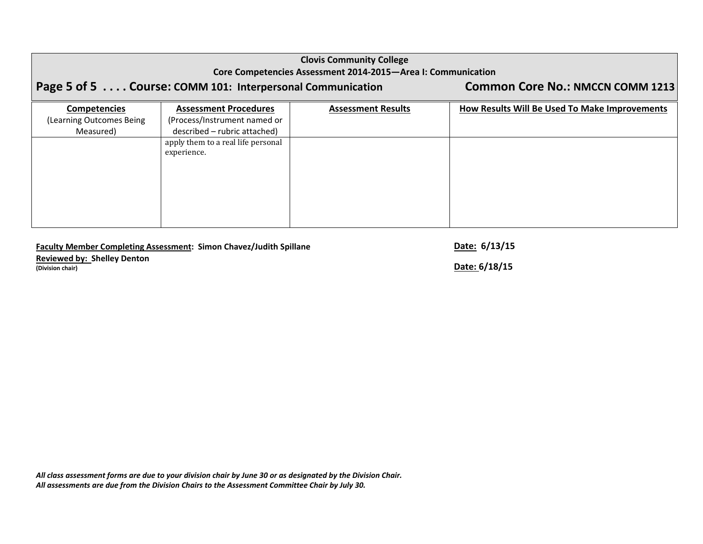## **Clovis Community College Core Competencies Assessment 2014‐2015—Area I: Communication**

# Page 5 of 5 . . . . Course: COMM 101: Interpersonal Communication Common Core No.: NMCCN COMM 1213

| <b>Competencies</b>      | <b>Assessment Procedures</b>       | <b>Assessment Results</b> | How Results Will Be Used To Make Improvements |
|--------------------------|------------------------------------|---------------------------|-----------------------------------------------|
| (Learning Outcomes Being | (Process/Instrument named or       |                           |                                               |
| Measured)                | described - rubric attached)       |                           |                                               |
|                          | apply them to a real life personal |                           |                                               |
|                          | experience.                        |                           |                                               |
|                          |                                    |                           |                                               |
|                          |                                    |                           |                                               |
|                          |                                    |                           |                                               |
|                          |                                    |                           |                                               |
|                          |                                    |                           |                                               |
|                          |                                    |                           |                                               |
|                          |                                    |                           |                                               |

## **Faculty Member Completing Assessment: Simon Chavez/Judith Spillane Date: 6/13/15**

**Reviewed by: Shelley Denton (Division chair) Date: 6/18/15**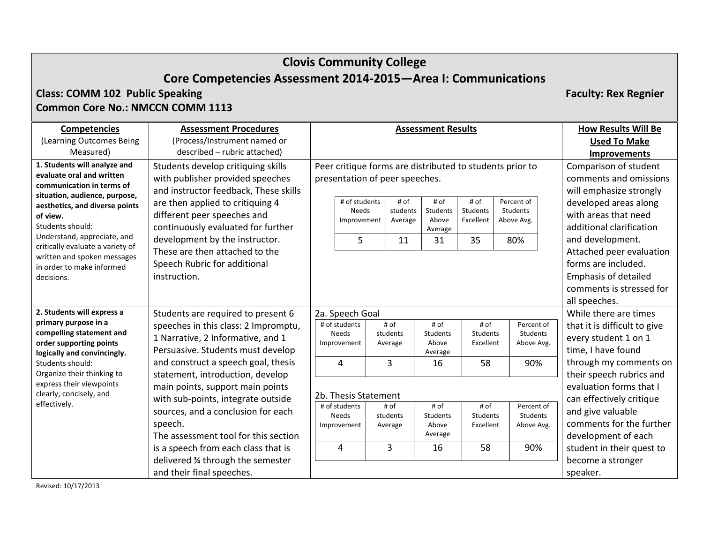# **Clovis Community College Core Competencies Assessment 2014‐2015—Area I: Communications**

# **Class: COMM 102 Public Speaking Faculty: Rex Regnier Common Core No.: NMCCN COMM 1113**

**Competencies** (Learning Outcomes Being Measured) **Assessment Procedures**(Process/Instrument named or described – rubric attached) **Assessment Results How Results Will Be Used To Make Improvements 1. Students will analyze and evaluate oral and written communication in terms of situation, audience, purpose, aesthetics, and diverse points of view.** Students should: Understand, appreciate, and critically evaluate <sup>a</sup> variety of written and spoken messages in order to make informed decisions.Students develop critiquing skills with publisher provided speeches and instructor feedback, These skills are then applied to critiquing 4 different peer speeches and continuously evaluated for further development by the instructor. These are then attached to the Speech Rubric for additional instruction.Peer critique forms are distributed to students prior to presentation of peer speeches. # of students NeedsImprovement # of studentsAverage # of StudentsAboveAverage # of StudentsExcellentPercent of StudentsAbove Avg. 5 11 31 35 80%Comparison of student comments and omissions will emphasize strongly developed areas along with areas that need additional clarificationand development. Attached peer evaluation forms are included. Emphasis of detailed comments is stressed for all speeches. **2. Students will express <sup>a</sup> primary purpose in <sup>a</sup> compelling statement and order supporting points logically and convincingly.** Students should: Organize their thinking to express their viewpoints clearly, concisely, and effectively. Students are required to present 6 speeches in this class: 2 Impromptu, 1 Narrative, 2 Informative, and 1 Persuasive. Students must develop and construct <sup>a</sup> speech goal, thesis statement, introduction, develop main points, support main points with sub‐points, integrate outside sources, and <sup>a</sup> conclusion for each speech. The assessment tool for this sectionis a speech from each class that is delivered ¾ through the semester and their final speeches. 2a. Speech Goal # of students NeedsImprovement # of studentsAverage # of **Students** AboveAverage # of StudentsExcellentPercent of StudentsAbove Avg. 4 3 16 58 90%2b. Thesis Statement # of students NeedsImprovement # of students Average # of StudentsAboveAverage # of StudentsExcellentPercent of StudentsAbove Avg. 4 3 16 58 90%While there are times that it is difficult to give every student 1 on 1 time, I have found through my comments on their speech rubrics and evaluation forms that I can effectively critique and give valuable comments for the further development of each student in their quest to become <sup>a</sup> stronger speaker.

Revised: 10/17/2013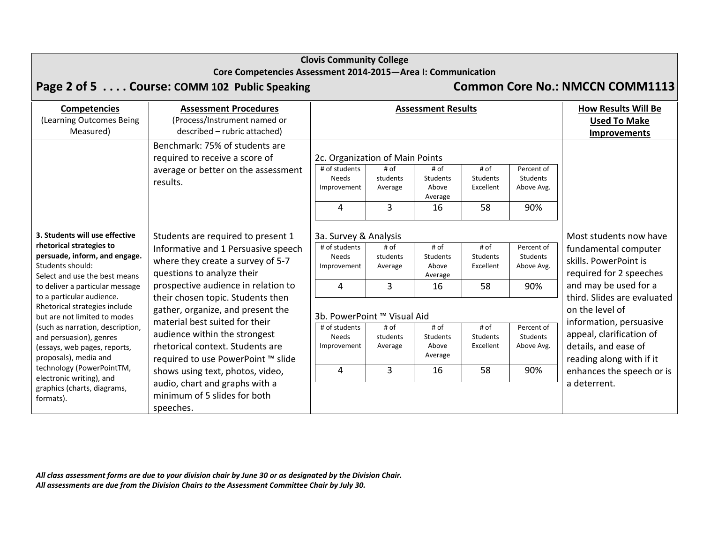|                                                                                                                                                                                                                                                                                                                                                                                                                                                                                                   | Core Competencies Assessment 2014-2015-Area I: Communication<br>Page 2 of 5 Course: COMM 102 Public Speaking                                                                                                                                                                              |                                                                                  |                                  |                                                   |                                            |                                                    | <b>Common Core No.: NMCCN COMM1113</b>                                                                                                                                                                 |
|---------------------------------------------------------------------------------------------------------------------------------------------------------------------------------------------------------------------------------------------------------------------------------------------------------------------------------------------------------------------------------------------------------------------------------------------------------------------------------------------------|-------------------------------------------------------------------------------------------------------------------------------------------------------------------------------------------------------------------------------------------------------------------------------------------|----------------------------------------------------------------------------------|----------------------------------|---------------------------------------------------|--------------------------------------------|----------------------------------------------------|--------------------------------------------------------------------------------------------------------------------------------------------------------------------------------------------------------|
| <b>Competencies</b><br>(Learning Outcomes Being<br>Measured)                                                                                                                                                                                                                                                                                                                                                                                                                                      | <b>Assessment Procedures</b><br>(Process/Instrument named or<br>described - rubric attached)<br>Benchmark: 75% of students are<br>required to receive a score of                                                                                                                          | 2c. Organization of Main Points                                                  |                                  | <b>Assessment Results</b>                         |                                            |                                                    | <b>How Results Will Be</b><br><b>Used To Make</b><br><b>Improvements</b>                                                                                                                               |
|                                                                                                                                                                                                                                                                                                                                                                                                                                                                                                   | average or better on the assessment<br>results.                                                                                                                                                                                                                                           | # of students<br><b>Needs</b><br>Improvement<br>4                                | # of<br>students<br>Average<br>3 | # of<br>Students<br>Above<br>Average<br>16        | # of<br>Students<br>Excellent<br>58        | Percent of<br>Students<br>Above Avg.<br>90%        |                                                                                                                                                                                                        |
| 3. Students will use effective<br>rhetorical strategies to<br>persuade, inform, and engage.<br>Students should:<br>Select and use the best means<br>to deliver a particular message<br>to a particular audience.<br>Rhetorical strategies include<br>but are not limited to modes<br>(such as narration, description,<br>and persuasion), genres<br>(essays, web pages, reports,<br>proposals), media and<br>technology (PowerPointTM,<br>electronic writing), and<br>graphics (charts, diagrams, | Students are required to present 1<br>Informative and 1 Persuasive speech<br>where they create a survey of 5-7<br>questions to analyze their<br>prospective audience in relation to                                                                                                       | 3a. Survey & Analysis<br># of students<br><b>Needs</b><br>Improvement<br>4       | # of<br>students<br>Average<br>3 | # of<br><b>Students</b><br>Above<br>Average<br>16 | # of<br><b>Students</b><br>Excellent<br>58 | Percent of<br>Students<br>Above Avg.<br>90%        | Most students now have<br>fundamental computer<br>skills. PowerPoint is<br>required for 2 speeches<br>and may be used for a                                                                            |
|                                                                                                                                                                                                                                                                                                                                                                                                                                                                                                   | their chosen topic. Students then<br>gather, organize, and present the<br>material best suited for their<br>audience within the strongest<br>rhetorical context. Students are<br>required to use PowerPoint ™ slide<br>shows using text, photos, video,<br>audio, chart and graphs with a | 3b. PowerPoint ™ Visual Aid<br># of students<br><b>Needs</b><br>Improvement<br>4 | # of<br>students<br>Average<br>3 | # of<br><b>Students</b><br>Above<br>Average<br>16 | # of<br><b>Students</b><br>Excellent<br>58 | Percent of<br><b>Students</b><br>Above Avg.<br>90% | third. Slides are evaluated<br>on the level of<br>information, persuasive<br>appeal, clarification of<br>details, and ease of<br>reading along with if it<br>enhances the speech or is<br>a deterrent. |
| formats).                                                                                                                                                                                                                                                                                                                                                                                                                                                                                         | minimum of 5 slides for both<br>speeches.                                                                                                                                                                                                                                                 |                                                                                  |                                  |                                                   |                                            |                                                    |                                                                                                                                                                                                        |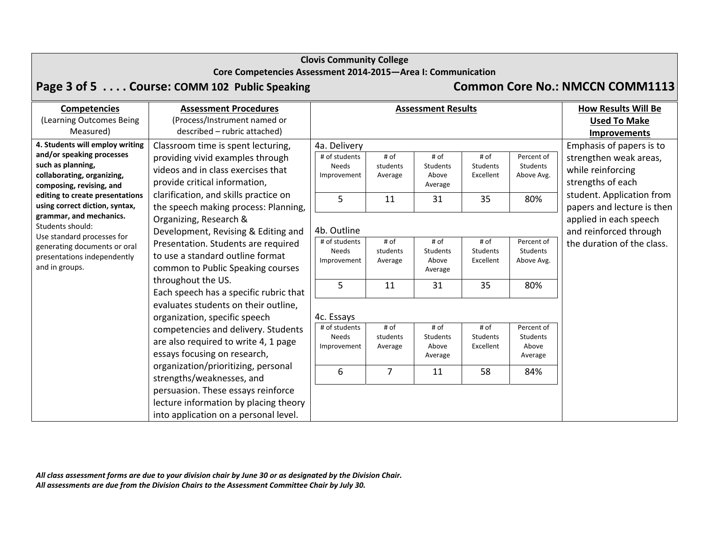## **Core Competencies Assessment 2014‐2015—Area I: Communication**

# **Page 3 of 5 . . . . Course: COMM <sup>102</sup> Public Speaking Common Core No.: NMCCN COMM1113**

| <b>Competencies</b>                                                                                                                                                                                                                                                                                                                                                                                                                                                                                                                                                                                                                                                                                                                                                                             | <b>Assessment Procedures</b>                                                                                                                                                                                                   |                                                                   |                                                   | <b>Assessment Results</b>                  |                                                   |                                                                                | <b>How Results Will Be</b>                                                                                                                              |
|-------------------------------------------------------------------------------------------------------------------------------------------------------------------------------------------------------------------------------------------------------------------------------------------------------------------------------------------------------------------------------------------------------------------------------------------------------------------------------------------------------------------------------------------------------------------------------------------------------------------------------------------------------------------------------------------------------------------------------------------------------------------------------------------------|--------------------------------------------------------------------------------------------------------------------------------------------------------------------------------------------------------------------------------|-------------------------------------------------------------------|---------------------------------------------------|--------------------------------------------|---------------------------------------------------|--------------------------------------------------------------------------------|---------------------------------------------------------------------------------------------------------------------------------------------------------|
| (Learning Outcomes Being                                                                                                                                                                                                                                                                                                                                                                                                                                                                                                                                                                                                                                                                                                                                                                        | (Process/Instrument named or                                                                                                                                                                                                   |                                                                   |                                                   |                                            |                                                   |                                                                                | <b>Used To Make</b>                                                                                                                                     |
| Measured)                                                                                                                                                                                                                                                                                                                                                                                                                                                                                                                                                                                                                                                                                                                                                                                       | described - rubric attached)                                                                                                                                                                                                   |                                                                   |                                                   |                                            |                                                   |                                                                                | <b>Improvements</b>                                                                                                                                     |
| 4. Students will employ writing<br>and/or speaking processes<br>such as planning,<br>collaborating, organizing,<br>composing, revising, and<br>editing to create presentations<br>using correct diction, syntax,                                                                                                                                                                                                                                                                                                                                                                                                                                                                                                                                                                                | Classroom time is spent lecturing,<br>providing vivid examples through<br>videos and in class exercises that<br>provide critical information,<br>clarification, and skills practice on<br>the speech making process: Planning, | 4a. Delivery<br># of students<br><b>Needs</b><br>Improvement<br>5 | # of<br>students<br>Average<br>11                 | # of<br>Students<br>Above<br>Average<br>31 | # of<br>Students<br>Excellent<br>35               | Percent of<br>Students<br>Above Avg.<br>80%                                    | Emphasis of papers is to<br>strengthen weak areas,<br>while reinforcing<br>strengths of each<br>student. Application from<br>papers and lecture is then |
| grammar, and mechanics.<br>Organizing, Research &<br>Students should:<br>Development, Revising & Editing and<br>Use standard processes for<br>Presentation. Students are required<br>generating documents or oral<br>to use a standard outline format<br>presentations independently<br>and in groups.<br>common to Public Speaking courses<br>throughout the US.<br>Each speech has a specific rubric that<br>evaluates students on their outline,<br>organization, specific speech<br>competencies and delivery. Students<br>are also required to write 4, 1 page<br>essays focusing on research,<br>organization/prioritizing, personal<br>strengths/weaknesses, and<br>persuasion. These essays reinforce<br>lecture information by placing theory<br>into application on a personal level. | 4b. Outline<br># of students<br>Needs<br>Improvement<br>5                                                                                                                                                                      | # of<br>students<br>Average<br>11                                 | # of<br>Students<br>Above<br>Average<br>31        | # of<br>Students<br>Excellent<br>35        | Percent of<br>Students<br>Above Avg.<br>80%       | applied in each speech<br>and reinforced through<br>the duration of the class. |                                                                                                                                                         |
|                                                                                                                                                                                                                                                                                                                                                                                                                                                                                                                                                                                                                                                                                                                                                                                                 | 4c. Essays<br># of students<br>Needs<br>Improvement<br>6                                                                                                                                                                       | # of<br>students<br>Average<br>$\overline{7}$                     | # of<br><b>Students</b><br>Above<br>Average<br>11 | # of<br>Students<br>Excellent<br>58        | Percent of<br>Students<br>Above<br>Average<br>84% |                                                                                |                                                                                                                                                         |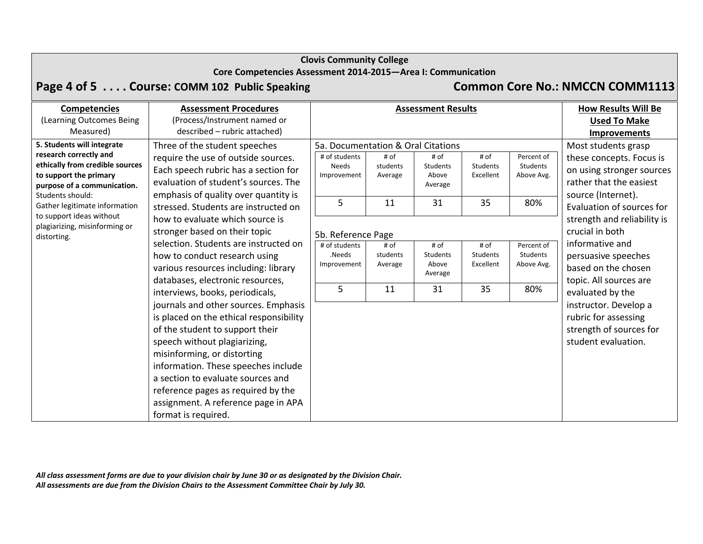## **Core Competencies Assessment 2014‐2015—Area I: Communication**

# **Page 4 of 5 . . . . Course: COMM <sup>102</sup> Public Speaking Common Core No.: NMCCN COMM1113**

| <b>Competencies</b>                                                                                                                                                  | <b>Assessment Procedures</b>                                                                                                                                                                                                                                                                                                                                                                                                                                                                                                                                                                                                                                                                            | <b>Assessment Results</b>                                                               |                                   |                                            |                                     |                                             | <b>How Results Will Be</b>                                                                                                                    |
|----------------------------------------------------------------------------------------------------------------------------------------------------------------------|---------------------------------------------------------------------------------------------------------------------------------------------------------------------------------------------------------------------------------------------------------------------------------------------------------------------------------------------------------------------------------------------------------------------------------------------------------------------------------------------------------------------------------------------------------------------------------------------------------------------------------------------------------------------------------------------------------|-----------------------------------------------------------------------------------------|-----------------------------------|--------------------------------------------|-------------------------------------|---------------------------------------------|-----------------------------------------------------------------------------------------------------------------------------------------------|
| (Learning Outcomes Being                                                                                                                                             | (Process/Instrument named or                                                                                                                                                                                                                                                                                                                                                                                                                                                                                                                                                                                                                                                                            |                                                                                         |                                   |                                            |                                     |                                             | <b>Used To Make</b>                                                                                                                           |
| Measured)                                                                                                                                                            | described - rubric attached)                                                                                                                                                                                                                                                                                                                                                                                                                                                                                                                                                                                                                                                                            |                                                                                         |                                   |                                            |                                     |                                             | <b>Improvements</b>                                                                                                                           |
| 5. Students will integrate<br>research correctly and<br>ethically from credible sources<br>to support the primary<br>purpose of a communication.<br>Students should: | Three of the student speeches<br>require the use of outside sources.<br>Each speech rubric has a section for<br>evaluation of student's sources. The<br>emphasis of quality over quantity is                                                                                                                                                                                                                                                                                                                                                                                                                                                                                                            | 5a. Documentation & Oral Citations<br># of students<br><b>Needs</b><br>Improvement<br>5 | # of<br>students<br>Average<br>11 | # of<br>Students<br>Above<br>Average<br>31 | # of<br>Students<br>Excellent<br>35 | Percent of<br>Students<br>Above Avg.<br>80% | Most students grasp<br>these concepts. Focus is<br>on using stronger sources<br>rather that the easiest<br>source (Internet).                 |
| to support ideas without<br>plagiarizing, misinforming or<br>distorting.                                                                                             | Gather legitimate information<br>stressed. Students are instructed on<br>how to evaluate which source is<br>stronger based on their topic<br>selection. Students are instructed on<br>how to conduct research using<br>various resources including: library<br>databases, electronic resources,<br>interviews, books, periodicals,<br>journals and other sources. Emphasis<br>is placed on the ethical responsibility<br>of the student to support their<br>speech without plagiarizing,<br>misinforming, or distorting<br>information. These speeches include<br>a section to evaluate sources and<br>reference pages as required by the<br>assignment. A reference page in APA<br>format is required. | 5b. Reference Page                                                                      |                                   |                                            |                                     |                                             | Evaluation of sources for<br>strength and reliability is<br>crucial in both                                                                   |
|                                                                                                                                                                      |                                                                                                                                                                                                                                                                                                                                                                                                                                                                                                                                                                                                                                                                                                         | # of students<br>.Needs<br>Improvement                                                  | # of<br>students<br>Average       | # of<br>Students<br>Above<br>Average       | # of<br>Students<br>Excellent       | Percent of<br>Students<br>Above Avg.        | informative and<br>persuasive speeches<br>based on the chosen                                                                                 |
|                                                                                                                                                                      |                                                                                                                                                                                                                                                                                                                                                                                                                                                                                                                                                                                                                                                                                                         | 5                                                                                       | 11                                | 31                                         | 35                                  | 80%                                         | topic. All sources are<br>evaluated by the<br>instructor. Develop a<br>rubric for assessing<br>strength of sources for<br>student evaluation. |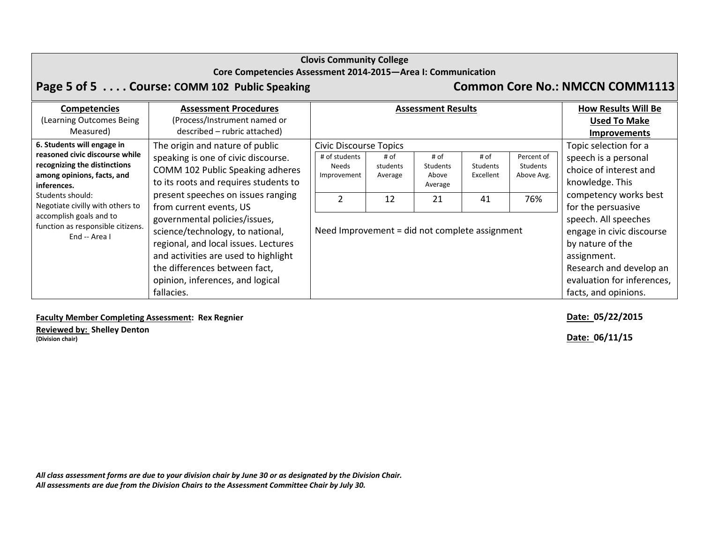### **Core Competencies Assessment 2014‐2015—Area I: Communication**

# **Page 5 of 5 . . . . Course: COMM <sup>102</sup> Public Speaking Common Core No.: NMCCN COMM1113**

| <b>Competencies</b><br>(Learning Outcomes Being<br>Measured)                                                                              | <b>Assessment Procedures</b><br>(Process/Instrument named or<br>described - rubric attached)                                                                                                                                         |                                                                        |                             | <b>Assessment Results</b>                   |                               |                                             | <b>How Results Will Be</b><br><b>Used To Make</b><br><b>Improvements</b>                                                                                              |  |  |  |
|-------------------------------------------------------------------------------------------------------------------------------------------|--------------------------------------------------------------------------------------------------------------------------------------------------------------------------------------------------------------------------------------|------------------------------------------------------------------------|-----------------------------|---------------------------------------------|-------------------------------|---------------------------------------------|-----------------------------------------------------------------------------------------------------------------------------------------------------------------------|--|--|--|
| 6. Students will engage in<br>reasoned civic discourse while<br>recognizing the distinctions<br>among opinions, facts, and<br>inferences. | The origin and nature of public<br>speaking is one of civic discourse.<br>COMM 102 Public Speaking adheres<br>to its roots and requires students to                                                                                  | <b>Civic Discourse Topics</b><br># of students<br>Needs<br>Improvement | # of<br>students<br>Average | # of<br><b>Students</b><br>Above<br>Average | # of<br>Students<br>Excellent | Percent of<br>Students<br>Above Avg.        | Topic selection for a<br>speech is a personal<br>choice of interest and<br>knowledge. This                                                                            |  |  |  |
| present speeches on issues ranging<br>Students should:<br>Negotiate civilly with others to<br>from current events, US                     | $\mathcal{P}$                                                                                                                                                                                                                        | 12                                                                     | 21                          | 41                                          | 76%                           | competency works best<br>for the persuasive |                                                                                                                                                                       |  |  |  |
| accomplish goals and to<br>function as responsible citizens.<br>End -- Area I                                                             | governmental policies/issues,<br>science/technology, to national,<br>regional, and local issues. Lectures<br>and activities are used to highlight<br>the differences between fact,<br>opinion, inferences, and logical<br>fallacies. | Need Improvement = did not complete assignment                         |                             |                                             |                               |                                             | speech. All speeches<br>engage in civic discourse<br>by nature of the<br>assignment.<br>Research and develop an<br>evaluation for inferences,<br>facts, and opinions. |  |  |  |

## **Faculty Member Completing Assessment: Rex Regnier Date: 05/22/2015**

**Reviewed by: Shelley Denton (Division chair) Date: 06/11/15**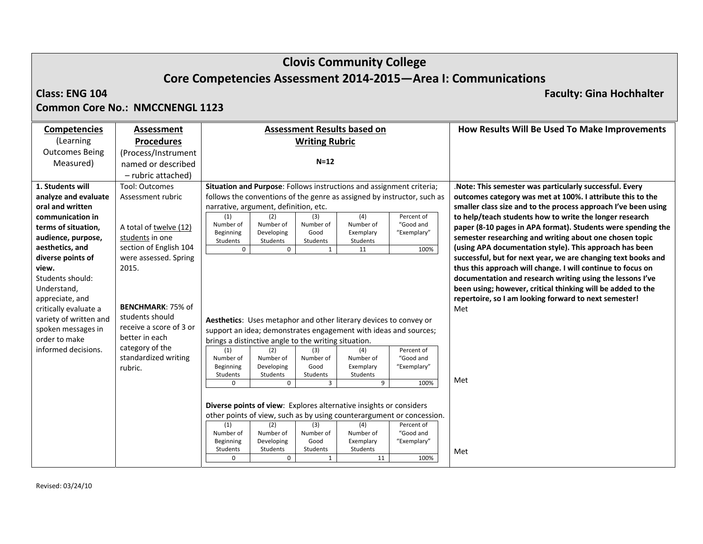# **Clovis Community College Core Competencies Assessment 2014‐2015—Area I: Communications**

## **Class: ENG**

**104 Faculty: Gina Hochhalter**

## **Common Core No.: NMCCNENGL 1123**

| <b>Competencies</b>    | Assessment                      | <b>Assessment Results based on</b>                                      |                   |                        |                          | How Results Will Be Used To Make Improvements                  |
|------------------------|---------------------------------|-------------------------------------------------------------------------|-------------------|------------------------|--------------------------|----------------------------------------------------------------|
| (Learning              | <b>Procedures</b>               | <b>Writing Rubric</b>                                                   |                   |                        |                          |                                                                |
| <b>Outcomes Being</b>  | (Process/Instrument             |                                                                         |                   |                        |                          |                                                                |
| Measured)              | named or described              |                                                                         | $N=12$            |                        |                          |                                                                |
|                        | - rubric attached)              |                                                                         |                   |                        |                          |                                                                |
| 1. Students will       | <b>Tool: Outcomes</b>           | Situation and Purpose: Follows instructions and assignment criteria;    |                   |                        |                          | . Note: This semester was particularly successful. Every       |
| analyze and evaluate   | Assessment rubric               | follows the conventions of the genre as assigned by instructor, such as |                   |                        |                          | outcomes category was met at 100%. I attribute this to the     |
| oral and written       |                                 | narrative, argument, definition, etc.                                   |                   |                        |                          | smaller class size and to the process approach I've been using |
| communication in       |                                 | (2)<br>(1)                                                              | (3)               | (4)                    | Percent of               | to help/teach students how to write the longer research        |
| terms of situation,    | A total of twelve (12)          | Number of<br>Number of<br>Developing<br>Beginning                       | Number of<br>Good | Number of<br>Exemplary | "Good and<br>"Exemplary" | paper (8-10 pages in APA format). Students were spending the   |
| audience, purpose,     | students in one                 | Students<br>Students                                                    | Students          | Students               |                          | semester researching and writing about one chosen topic        |
| aesthetics, and        | section of English 104          | $\mathbf 0$<br>$\mathbf 0$                                              | 1                 | 11                     | 100%                     | (using APA documentation style). This approach has been        |
| diverse points of      | were assessed. Spring           |                                                                         |                   |                        |                          | successful, but for next year, we are changing text books and  |
| view.                  | 2015.                           |                                                                         |                   |                        |                          | thus this approach will change. I will continue to focus on    |
| Students should:       |                                 |                                                                         |                   |                        |                          | documentation and research writing using the lessons I've      |
| Understand,            |                                 |                                                                         |                   |                        |                          | been using; however, critical thinking will be added to the    |
| appreciate, and        |                                 |                                                                         |                   |                        |                          | repertoire, so I am looking forward to next semester!          |
| critically evaluate a  | <b>BENCHMARK: 75% of</b>        |                                                                         |                   |                        |                          | Met                                                            |
| variety of written and | students should                 | Aesthetics: Uses metaphor and other literary devices to convey or       |                   |                        |                          |                                                                |
| spoken messages in     | receive a score of 3 or         | support an idea; demonstrates engagement with ideas and sources;        |                   |                        |                          |                                                                |
| order to make          | better in each                  | brings a distinctive angle to the writing situation.                    |                   |                        |                          |                                                                |
| informed decisions.    | category of the                 | (1)<br>(2)                                                              | (3)               | (4)                    | Percent of               |                                                                |
|                        | standardized writing<br>rubric. | Number of<br>Number of<br>Beginning<br>Developing                       | Number of<br>Good | Number of<br>Exemplary | "Good and<br>"Exemplary" |                                                                |
|                        |                                 | Students<br>Students                                                    | Students          | Students               |                          |                                                                |
|                        |                                 | $\Omega$<br>$\Omega$                                                    | $\mathbf{3}$      | 9                      | 100%                     | Met                                                            |
|                        |                                 |                                                                         |                   |                        |                          |                                                                |
|                        |                                 | Diverse points of view: Explores alternative insights or considers      |                   |                        |                          |                                                                |
|                        |                                 | other points of view, such as by using counterargument or concession.   |                   |                        |                          |                                                                |
|                        |                                 | (1)<br>(2)                                                              | (3)               | (4)                    | Percent of               |                                                                |
|                        |                                 | Number of<br>Number of<br>Beginning<br>Developing                       | Number of<br>Good | Number of<br>Exemplary | "Good and<br>"Exemplary" |                                                                |
|                        |                                 | Students<br>Students                                                    | Students          | Students               |                          | Met                                                            |
|                        |                                 | $\mathbf 0$<br>$\Omega$                                                 | $\mathbf{1}$      | 11                     | 100%                     |                                                                |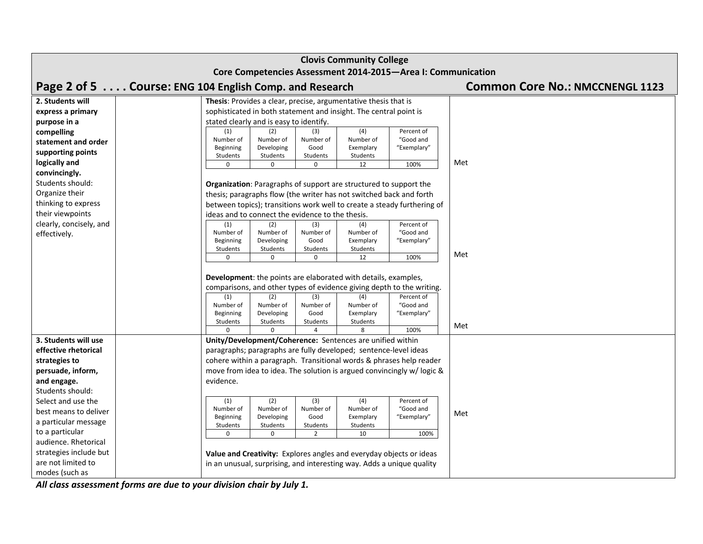| <b>Clovis Community College</b>                              |                                                                                                                                                                                                                                                                                                                   |  |  |  |  |  |  |  |
|--------------------------------------------------------------|-------------------------------------------------------------------------------------------------------------------------------------------------------------------------------------------------------------------------------------------------------------------------------------------------------------------|--|--|--|--|--|--|--|
| Core Competencies Assessment 2014-2015-Area I: Communication |                                                                                                                                                                                                                                                                                                                   |  |  |  |  |  |  |  |
|                                                              | Page 2 of 5 Course: ENG 104 English Comp. and Research<br><b>Common Core No.: NMCCNENGL 1123</b>                                                                                                                                                                                                                  |  |  |  |  |  |  |  |
| 2. Students will                                             | Thesis: Provides a clear, precise, argumentative thesis that is                                                                                                                                                                                                                                                   |  |  |  |  |  |  |  |
| express a primary                                            | sophisticated in both statement and insight. The central point is                                                                                                                                                                                                                                                 |  |  |  |  |  |  |  |
| purpose in a                                                 | stated clearly and is easy to identify.                                                                                                                                                                                                                                                                           |  |  |  |  |  |  |  |
| compelling                                                   | (4)<br>(1)<br>(2)<br>Percent of<br>(3)                                                                                                                                                                                                                                                                            |  |  |  |  |  |  |  |
| statement and order                                          | Number of<br>Number of<br>Number of<br>Number of<br>"Good and<br>Developing<br>"Exemplary"<br>Beginning<br>Good<br>Exemplary                                                                                                                                                                                      |  |  |  |  |  |  |  |
| supporting points                                            | Students<br>Students<br>Students<br>Students                                                                                                                                                                                                                                                                      |  |  |  |  |  |  |  |
| logically and                                                | Met<br>12<br>100%<br>$\Omega$<br>$\Omega$<br>$\Omega$                                                                                                                                                                                                                                                             |  |  |  |  |  |  |  |
| convincingly.                                                |                                                                                                                                                                                                                                                                                                                   |  |  |  |  |  |  |  |
| Students should:                                             | <b>Organization:</b> Paragraphs of support are structured to support the                                                                                                                                                                                                                                          |  |  |  |  |  |  |  |
| Organize their                                               | thesis; paragraphs flow (the writer has not switched back and forth                                                                                                                                                                                                                                               |  |  |  |  |  |  |  |
| thinking to express                                          | between topics); transitions work well to create a steady furthering of                                                                                                                                                                                                                                           |  |  |  |  |  |  |  |
| their viewpoints                                             | ideas and to connect the evidence to the thesis.                                                                                                                                                                                                                                                                  |  |  |  |  |  |  |  |
| clearly, concisely, and                                      | Percent of<br>(1)<br>(2)<br>(3)<br>(4)                                                                                                                                                                                                                                                                            |  |  |  |  |  |  |  |
| effectively.                                                 | "Good and<br>Number of<br>Number of<br>Number of<br>Number of<br>Beginning<br>Developing<br>Good<br>Exemplary<br>"Exemplary"                                                                                                                                                                                      |  |  |  |  |  |  |  |
|                                                              | Students<br>Students<br>Students<br>Students                                                                                                                                                                                                                                                                      |  |  |  |  |  |  |  |
|                                                              | Met<br>100%<br>12<br>$\Omega$<br>0<br>U                                                                                                                                                                                                                                                                           |  |  |  |  |  |  |  |
|                                                              | Development: the points are elaborated with details, examples,<br>comparisons, and other types of evidence giving depth to the writing.<br>(2)<br>(1)<br>(3)<br>(4)<br>Percent of<br>Number of<br>Number of<br>Number of<br>Number of<br>"Good and<br>Beginning<br>Developing<br>Good<br>Exemplary<br>"Exemplary" |  |  |  |  |  |  |  |
|                                                              | Students<br>Students<br>Students<br>Students<br>Met                                                                                                                                                                                                                                                               |  |  |  |  |  |  |  |
|                                                              | 8<br>100%<br>$\Delta$                                                                                                                                                                                                                                                                                             |  |  |  |  |  |  |  |
| 3. Students will use                                         | Unity/Development/Coherence: Sentences are unified within                                                                                                                                                                                                                                                         |  |  |  |  |  |  |  |
| effective rhetorical                                         | paragraphs; paragraphs are fully developed; sentence-level ideas                                                                                                                                                                                                                                                  |  |  |  |  |  |  |  |
| strategies to                                                | cohere within a paragraph. Transitional words & phrases help reader                                                                                                                                                                                                                                               |  |  |  |  |  |  |  |
| persuade, inform,                                            | move from idea to idea. The solution is argued convincingly w/logic &                                                                                                                                                                                                                                             |  |  |  |  |  |  |  |
| and engage.                                                  | evidence.                                                                                                                                                                                                                                                                                                         |  |  |  |  |  |  |  |
| Students should:                                             |                                                                                                                                                                                                                                                                                                                   |  |  |  |  |  |  |  |
| Select and use the                                           | (2)<br>(4)<br>(1)<br>(3)<br>Percent of<br>Number of<br>Number of<br>Number of<br>Number of<br>"Good and                                                                                                                                                                                                           |  |  |  |  |  |  |  |
| best means to deliver                                        | Met<br>Beginning<br>Developing<br>Good<br>Exemplary<br>"Exemplary"                                                                                                                                                                                                                                                |  |  |  |  |  |  |  |
| a particular message                                         | Students<br>Students<br>Students<br>Students                                                                                                                                                                                                                                                                      |  |  |  |  |  |  |  |
| to a particular                                              | 10<br>$\Omega$<br>$\Omega$<br>2<br>100%                                                                                                                                                                                                                                                                           |  |  |  |  |  |  |  |
| audience. Rhetorical                                         |                                                                                                                                                                                                                                                                                                                   |  |  |  |  |  |  |  |
| strategies include but                                       | Value and Creativity: Explores angles and everyday objects or ideas                                                                                                                                                                                                                                               |  |  |  |  |  |  |  |
| are not limited to                                           | in an unusual, surprising, and interesting way. Adds a unique quality                                                                                                                                                                                                                                             |  |  |  |  |  |  |  |
| modes (such as                                               |                                                                                                                                                                                                                                                                                                                   |  |  |  |  |  |  |  |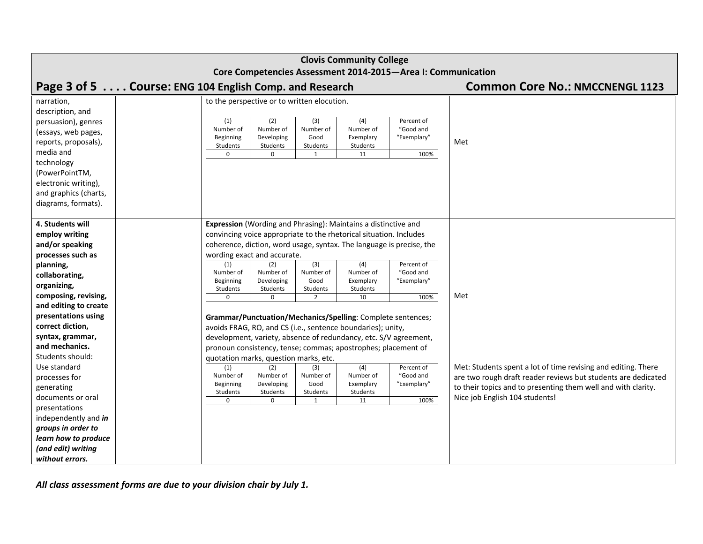| <b>Clovis Community College</b> |                                                                                                                              |                                                               |  |  |  |  |  |
|---------------------------------|------------------------------------------------------------------------------------------------------------------------------|---------------------------------------------------------------|--|--|--|--|--|
|                                 | Core Competencies Assessment 2014-2015-Area I: Communication                                                                 |                                                               |  |  |  |  |  |
|                                 | Page 3 of 5 Course: ENG 104 English Comp. and Research                                                                       | <b>Common Core No.: NMCCNENGL 1123</b>                        |  |  |  |  |  |
| narration,                      | to the perspective or to written elocution.                                                                                  |                                                               |  |  |  |  |  |
| description, and                |                                                                                                                              |                                                               |  |  |  |  |  |
| persuasion), genres             | (2)<br>$\overline{(4)}$<br>(1)<br>(3)<br>Percent of                                                                          |                                                               |  |  |  |  |  |
| (essays, web pages,             | Number of<br>Number of<br>"Good and<br>Number of<br>Number of<br>Beginning<br>Developing<br>Good<br>"Exemplary"<br>Exemplary |                                                               |  |  |  |  |  |
| reports, proposals),            | Students<br>Students<br>Students<br>Students                                                                                 | Met                                                           |  |  |  |  |  |
| media and                       | 100%<br>$\mathbf 0$<br>0<br>1<br>11                                                                                          |                                                               |  |  |  |  |  |
| technology                      |                                                                                                                              |                                                               |  |  |  |  |  |
| (PowerPointTM,                  |                                                                                                                              |                                                               |  |  |  |  |  |
| electronic writing),            |                                                                                                                              |                                                               |  |  |  |  |  |
| and graphics (charts,           |                                                                                                                              |                                                               |  |  |  |  |  |
| diagrams, formats).             |                                                                                                                              |                                                               |  |  |  |  |  |
| 4. Students will                | Expression (Wording and Phrasing): Maintains a distinctive and                                                               |                                                               |  |  |  |  |  |
| employ writing                  | convincing voice appropriate to the rhetorical situation. Includes                                                           |                                                               |  |  |  |  |  |
| and/or speaking                 | coherence, diction, word usage, syntax. The language is precise, the                                                         |                                                               |  |  |  |  |  |
| processes such as               | wording exact and accurate.                                                                                                  |                                                               |  |  |  |  |  |
| planning,                       | (2)<br>(3)<br>(4)<br>Percent of<br>(1)                                                                                       |                                                               |  |  |  |  |  |
| collaborating,                  | Number of<br>Number of<br>Number of<br>Number of<br>"Good and                                                                |                                                               |  |  |  |  |  |
| organizing,                     | Beginning<br>Developing<br>Good<br>Exemplary<br>"Exemplary"                                                                  |                                                               |  |  |  |  |  |
| composing, revising,            | Students<br>Students<br>Students<br>Students                                                                                 | Met                                                           |  |  |  |  |  |
| and editing to create           | 10<br>100%<br>$\mathbf 0$<br>0<br>$\overline{2}$                                                                             |                                                               |  |  |  |  |  |
| presentations using             | Grammar/Punctuation/Mechanics/Spelling: Complete sentences;                                                                  |                                                               |  |  |  |  |  |
| correct diction,                | avoids FRAG, RO, and CS (i.e., sentence boundaries); unity,                                                                  |                                                               |  |  |  |  |  |
| syntax, grammar,                | development, variety, absence of redundancy, etc. S/V agreement,                                                             |                                                               |  |  |  |  |  |
| and mechanics.                  | pronoun consistency, tense; commas; apostrophes; placement of                                                                |                                                               |  |  |  |  |  |
| Students should:                | quotation marks, question marks, etc.                                                                                        |                                                               |  |  |  |  |  |
| Use standard                    | (4)<br>(2)<br>Percent of<br>(1)<br>(3)                                                                                       | Met: Students spent a lot of time revising and editing. There |  |  |  |  |  |
| processes for                   | "Good and<br>Number of<br>Number of<br>Number of<br>Number of                                                                | are two rough draft reader reviews but students are dedicated |  |  |  |  |  |
| generating                      | Beginning<br>Developing<br>Good<br>Exemplary<br>"Exemplary"<br>Students<br>Students<br>Students<br>Students                  | to their topics and to presenting them well and with clarity. |  |  |  |  |  |
| documents or oral               | 100%<br>11<br>0<br>0                                                                                                         | Nice job English 104 students!                                |  |  |  |  |  |
| presentations                   |                                                                                                                              |                                                               |  |  |  |  |  |
| independently and in            |                                                                                                                              |                                                               |  |  |  |  |  |
| groups in order to              |                                                                                                                              |                                                               |  |  |  |  |  |
| learn how to produce            |                                                                                                                              |                                                               |  |  |  |  |  |
| (and edit) writing              |                                                                                                                              |                                                               |  |  |  |  |  |
| without errors.                 |                                                                                                                              |                                                               |  |  |  |  |  |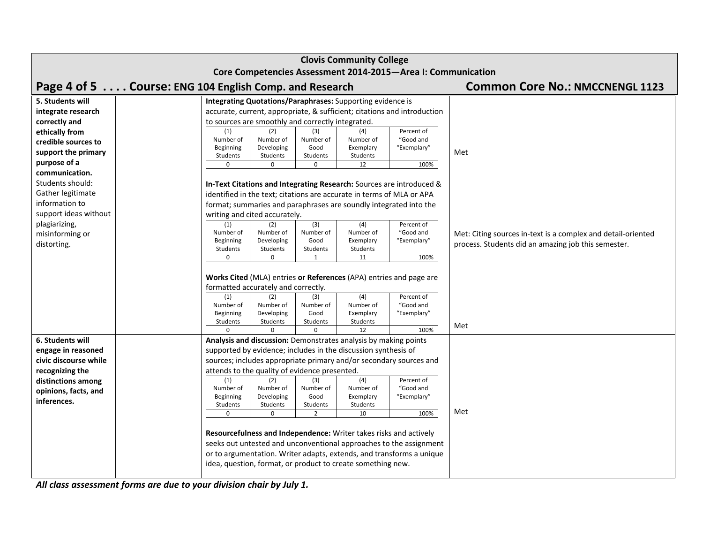| <b>Clovis Community College</b>                              |  |                                                          |                         |                          |                                                                       |                                                                          |                                                                                                                     |  |
|--------------------------------------------------------------|--|----------------------------------------------------------|-------------------------|--------------------------|-----------------------------------------------------------------------|--------------------------------------------------------------------------|---------------------------------------------------------------------------------------------------------------------|--|
| Core Competencies Assessment 2014-2015-Area I: Communication |  |                                                          |                         |                          |                                                                       |                                                                          |                                                                                                                     |  |
| Page 4 of 5 Course: ENG 104 English Comp. and Research       |  |                                                          |                         |                          |                                                                       |                                                                          | <b>Common Core No.: NMCCNENGL 1123</b>                                                                              |  |
| 5. Students will<br>integrate research                       |  |                                                          |                         |                          | Integrating Quotations/Paraphrases: Supporting evidence is            | accurate, current, appropriate, & sufficient; citations and introduction |                                                                                                                     |  |
| correctly and<br>ethically from                              |  | to sources are smoothly and correctly integrated.<br>(1) | (2)                     | (3)                      | (4)                                                                   | Percent of                                                               |                                                                                                                     |  |
| credible sources to                                          |  | Number of<br>Beginning                                   | Number of<br>Developing | Number of<br>Good        | Number of<br>Exemplary                                                | "Good and<br>"Exemplary"                                                 |                                                                                                                     |  |
| support the primary<br>purpose of a                          |  | Students<br>$\Omega$                                     | Students<br>$\Omega$    | Students<br>$\Omega$     | Students<br>12                                                        | 100%                                                                     | Met                                                                                                                 |  |
| communication.                                               |  |                                                          |                         |                          |                                                                       |                                                                          |                                                                                                                     |  |
| Students should:<br>Gather legitimate                        |  |                                                          |                         |                          | identified in the text; citations are accurate in terms of MLA or APA | In-Text Citations and Integrating Research: Sources are introduced &     |                                                                                                                     |  |
| information to                                               |  |                                                          |                         |                          | format; summaries and paraphrases are soundly integrated into the     |                                                                          |                                                                                                                     |  |
| support ideas without                                        |  | writing and cited accurately.                            |                         |                          |                                                                       |                                                                          |                                                                                                                     |  |
| plagiarizing,                                                |  | (1)<br>Number of                                         | (2)<br>Number of        | (3)<br>Number of         | (4)<br>Number of                                                      | Percent of<br>"Good and                                                  |                                                                                                                     |  |
| misinforming or<br>distorting.                               |  | Beginning                                                | Developing              | Good                     | Exemplary                                                             | "Exemplary"                                                              | Met: Citing sources in-text is a complex and detail-oriented<br>process. Students did an amazing job this semester. |  |
|                                                              |  | Students<br>$\Omega$                                     | Students<br>$\mathbf 0$ | Students<br>$\mathbf{1}$ | Students<br>11                                                        | 100%                                                                     |                                                                                                                     |  |
|                                                              |  |                                                          |                         |                          |                                                                       |                                                                          |                                                                                                                     |  |
|                                                              |  | formatted accurately and correctly.                      |                         |                          | Works Cited (MLA) entries or References (APA) entries and page are    |                                                                          |                                                                                                                     |  |
|                                                              |  | (1)                                                      | (2)                     | (3)                      | $\overline{(4)}$                                                      | Percent of                                                               |                                                                                                                     |  |
|                                                              |  | Number of<br>Beginning                                   | Number of<br>Developing | Number of<br>Good        | Number of<br>Exemplary                                                | "Good and<br>"Exemplary"                                                 |                                                                                                                     |  |
|                                                              |  | Students                                                 | Students                | Students<br>$\Omega$     | Students<br>12                                                        | 100%                                                                     | Met                                                                                                                 |  |
| 6. Students will                                             |  |                                                          |                         |                          | Analysis and discussion: Demonstrates analysis by making points       |                                                                          |                                                                                                                     |  |
| engage in reasoned                                           |  |                                                          |                         |                          | supported by evidence; includes in the discussion synthesis of        |                                                                          |                                                                                                                     |  |
| civic discourse while                                        |  |                                                          |                         |                          | sources; includes appropriate primary and/or secondary sources and    |                                                                          |                                                                                                                     |  |
| recognizing the<br>distinctions among                        |  | attends to the quality of evidence presented.<br>(1)     | (2)                     | (3)                      | (4)                                                                   | Percent of                                                               |                                                                                                                     |  |
| opinions, facts, and                                         |  | Number of<br>Beginning                                   | Number of<br>Developing | Number of<br>Good        | Number of<br>Exemplary                                                | "Good and<br>"Exemplary"                                                 |                                                                                                                     |  |
| inferences.                                                  |  | Students                                                 | Students                | Students                 | Students                                                              |                                                                          |                                                                                                                     |  |
|                                                              |  | $\Omega$                                                 | 0                       | 2                        | 10                                                                    | 100%                                                                     | Met                                                                                                                 |  |
|                                                              |  |                                                          |                         |                          | Resourcefulness and Independence: Writer takes risks and actively     |                                                                          |                                                                                                                     |  |
|                                                              |  |                                                          |                         |                          |                                                                       | seeks out untested and unconventional approaches to the assignment       |                                                                                                                     |  |
|                                                              |  |                                                          |                         |                          | idea, question, format, or product to create something new.           | or to argumentation. Writer adapts, extends, and transforms a unique     |                                                                                                                     |  |
|                                                              |  |                                                          |                         |                          |                                                                       |                                                                          |                                                                                                                     |  |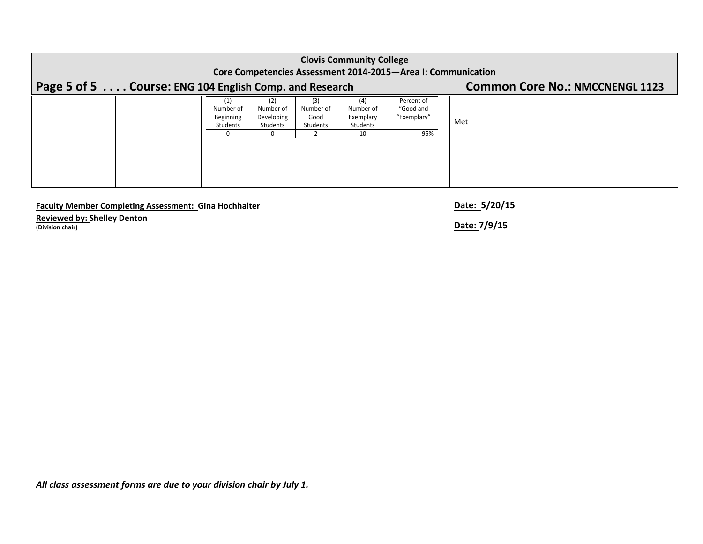|                                                              | <b>Clovis Community College</b>           |                                            |                                      |                                                 |                                               |     |  |  |  |  |  |  |  |
|--------------------------------------------------------------|-------------------------------------------|--------------------------------------------|--------------------------------------|-------------------------------------------------|-----------------------------------------------|-----|--|--|--|--|--|--|--|
| Core Competencies Assessment 2014-2015-Area I: Communication |                                           |                                            |                                      |                                                 |                                               |     |  |  |  |  |  |  |  |
| Page 5 of 5 Course: ENG 104 English Comp. and Research       | <b>Common Core No.: NMCCNENGL 1123</b>    |                                            |                                      |                                                 |                                               |     |  |  |  |  |  |  |  |
|                                                              | (1)<br>Number of<br>Beginning<br>Students | (2)<br>Number of<br>Developing<br>Students | (3)<br>Number of<br>Good<br>Students | (4)<br>Number of<br>Exemplary<br>Students<br>10 | Percent of<br>"Good and<br>"Exemplary"<br>95% | Met |  |  |  |  |  |  |  |

## **Faculty Member Completing Assessment: Gina Hochhalter Date: 5/20/15**

**Reviewed by: Shelley Denton (Division chair) Date: 7/9/15**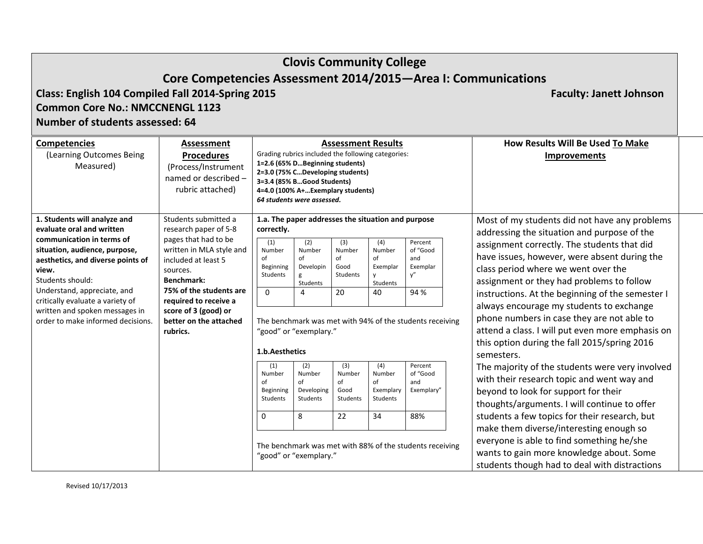| <b>Clovis Community College</b>                                                                                                                                                                                                  |                                                                                                                             |                                                          |                                                                                                                                                                                                                            |                                                      |                                                        |                                                                 |                                                                                                                                                                                                                                     |  |  |  |  |  |
|----------------------------------------------------------------------------------------------------------------------------------------------------------------------------------------------------------------------------------|-----------------------------------------------------------------------------------------------------------------------------|----------------------------------------------------------|----------------------------------------------------------------------------------------------------------------------------------------------------------------------------------------------------------------------------|------------------------------------------------------|--------------------------------------------------------|-----------------------------------------------------------------|-------------------------------------------------------------------------------------------------------------------------------------------------------------------------------------------------------------------------------------|--|--|--|--|--|
|                                                                                                                                                                                                                                  |                                                                                                                             |                                                          |                                                                                                                                                                                                                            |                                                      |                                                        |                                                                 | Core Competencies Assessment 2014/2015-Area I: Communications                                                                                                                                                                       |  |  |  |  |  |
| Class: English 104 Compiled Fall 2014-Spring 2015<br><b>Faculty: Janett Johnson</b><br><b>Common Core No.: NMCCNENGL 1123</b><br>Number of students assessed: 64                                                                 |                                                                                                                             |                                                          |                                                                                                                                                                                                                            |                                                      |                                                        |                                                                 |                                                                                                                                                                                                                                     |  |  |  |  |  |
|                                                                                                                                                                                                                                  |                                                                                                                             |                                                          |                                                                                                                                                                                                                            |                                                      |                                                        |                                                                 |                                                                                                                                                                                                                                     |  |  |  |  |  |
| <b>Competencies</b><br>(Learning Outcomes Being<br>Measured)                                                                                                                                                                     | <b>Assessment</b><br><b>Procedures</b><br>(Process/Instrument<br>named or described -<br>rubric attached)                   |                                                          | Grading rubrics included the following categories:<br>1=2.6 (65% DBeginning students)<br>2=3.0 (75% CDeveloping students)<br>3=3.4 (85% BGood Students)<br>4=4.0 (100% A+Exemplary students)<br>64 students were assessed. |                                                      | <b>Assessment Results</b>                              |                                                                 | How Results Will Be Used To Make<br><b>Improvements</b>                                                                                                                                                                             |  |  |  |  |  |
| 1. Students will analyze and<br>evaluate oral and written                                                                                                                                                                        | Students submitted a<br>research paper of 5-8                                                                               | correctly.                                               | 1.a. The paper addresses the situation and purpose                                                                                                                                                                         |                                                      |                                                        |                                                                 | Most of my students did not have any problems<br>addressing the situation and purpose of the                                                                                                                                        |  |  |  |  |  |
| communication in terms of<br>situation, audience, purpose,<br>aesthetics, and diverse points of<br>view.<br>sources.<br><b>Benchmark:</b><br>Students should:<br>Understand, appreciate, and<br>critically evaluate a variety of | pages that had to be<br>written in MLA style and<br>included at least 5<br>75% of the students are<br>required to receive a | (1)<br>Number<br>of<br>Beginning<br>Students<br>$\Omega$ | (2)<br>Number<br>of<br>Developin<br>g<br>Students<br>$\overline{4}$                                                                                                                                                        | (3)<br>Number<br>of<br>Good<br><b>Students</b><br>20 | (4)<br>Number<br>of<br>Exemplar<br>y<br>Students<br>40 | Percent<br>of "Good<br>and<br>Exemplar<br>y''<br>94 %           | assignment correctly. The students that did<br>have issues, however, were absent during the<br>class period where we went over the<br>assignment or they had problems to follow<br>instructions. At the beginning of the semester I |  |  |  |  |  |
| written and spoken messages in<br>order to make informed decisions.                                                                                                                                                              | score of 3 (good) or<br>better on the attached<br>rubrics.                                                                  | 1.b.Aesthetics                                           | "good" or "exemplary."                                                                                                                                                                                                     |                                                      |                                                        | The benchmark was met with 94% of the students receiving        | always encourage my students to exchange<br>phone numbers in case they are not able to<br>attend a class. I will put even more emphasis on<br>this option during the fall 2015/spring 2016<br>semesters.                            |  |  |  |  |  |
|                                                                                                                                                                                                                                  |                                                                                                                             | (1)<br>Number<br>of<br>Beginning<br>Students             | (2)<br>Number<br>of<br>Developing<br>Students                                                                                                                                                                              | (3)<br>Number<br>of<br>Good<br>Students              | (4)<br>Number<br>of<br>Exemplary<br>Students           | Percent<br>of "Good<br>and<br>Exemplary"                        | The majority of the students were very involved<br>with their research topic and went way and<br>beyond to look for support for their<br>thoughts/arguments. I will continue to offer                                               |  |  |  |  |  |
|                                                                                                                                                                                                                                  |                                                                                                                             | $\mathbf 0$                                              | 8<br>"good" or "exemplary."                                                                                                                                                                                                | 22                                                   | 34                                                     | 88%<br>The benchmark was met with 88% of the students receiving | students a few topics for their research, but<br>make them diverse/interesting enough so<br>everyone is able to find something he/she<br>wants to gain more knowledge about. Some<br>students though had to deal with distractions  |  |  |  |  |  |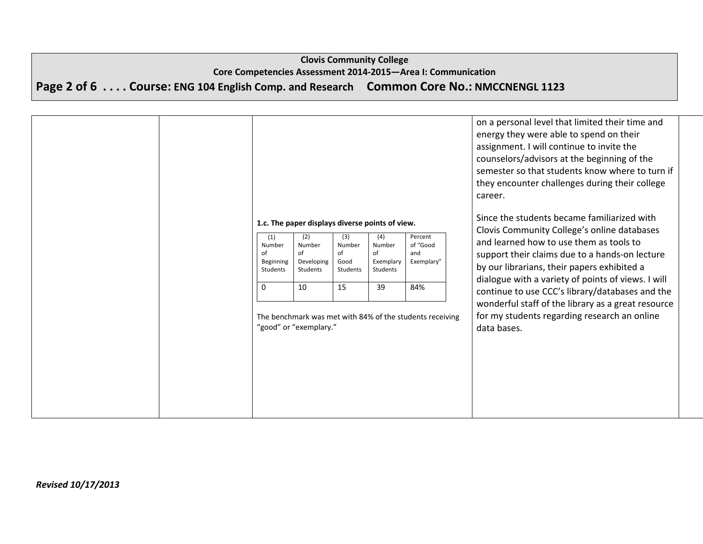# **Clovis Community College Core Competencies Assessment 2014‐2015—Area I: Communication** Page 2 of 6 . . . . Course: ENG 104 English Comp. and Research Common Core No.: NMCCNENGL 1123

|                                                          |                                                                                                                                  |                                               |                                                    |                                                                                                             | on a personal level that limited their time and<br>energy they were able to spend on their<br>assignment. I will continue to invite the<br>counselors/advisors at the beginning of the<br>semester so that students know where to turn if<br>they encounter challenges during their college<br>career.                                                                                                                                                               |
|----------------------------------------------------------|----------------------------------------------------------------------------------------------------------------------------------|-----------------------------------------------|----------------------------------------------------|-------------------------------------------------------------------------------------------------------------|----------------------------------------------------------------------------------------------------------------------------------------------------------------------------------------------------------------------------------------------------------------------------------------------------------------------------------------------------------------------------------------------------------------------------------------------------------------------|
| (1)<br>Number<br>Ωf<br>Beginning<br>Students<br>$\Omega$ | 1.c. The paper displays diverse points of view.<br>(2)<br>Number<br>of<br>Developing<br>Students<br>10<br>"good" or "exemplary." | (3)<br>Number<br>of<br>Good<br>Students<br>15 | (4)<br>Number<br>of<br>Exemplary<br>Students<br>39 | Percent<br>of "Good<br>and<br>Exemplary"<br>84%<br>The benchmark was met with 84% of the students receiving | Since the students became familiarized with<br>Clovis Community College's online databases<br>and learned how to use them as tools to<br>support their claims due to a hands-on lecture<br>by our librarians, their papers exhibited a<br>dialogue with a variety of points of views. I will<br>continue to use CCC's library/databases and the<br>wonderful staff of the library as a great resource<br>for my students regarding research an online<br>data bases. |
|                                                          |                                                                                                                                  |                                               |                                                    |                                                                                                             |                                                                                                                                                                                                                                                                                                                                                                                                                                                                      |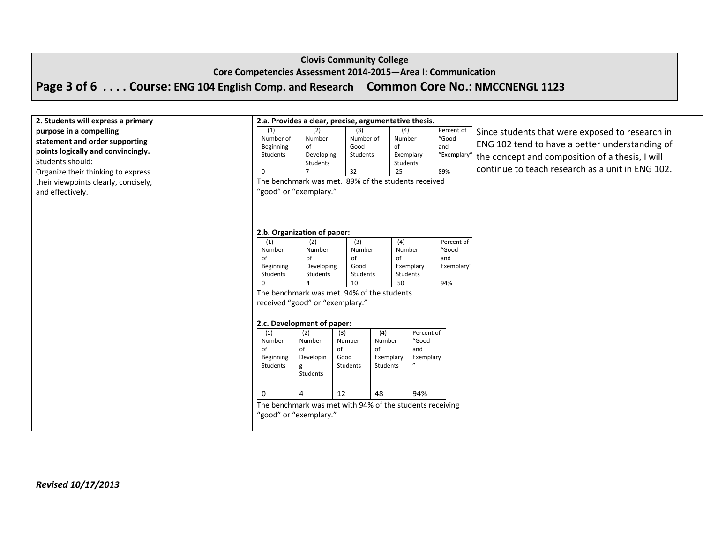#### **Core Competencies Assessment 2014‐2015—Area I: Communication**

# Page 3 of 6 . . . . Course: ENG 104 English Comp. and Research Common Core No.: NMCCNENGL 1123

| 2. Students will express a primary   |                                            |                        |                 |           | 2.a. Provides a clear, precise, argumentative thesis.    |                     |                                                  |  |
|--------------------------------------|--------------------------------------------|------------------------|-----------------|-----------|----------------------------------------------------------|---------------------|--------------------------------------------------|--|
| purpose in a compelling              | (1)                                        | (2)                    | (3)             |           | (4)                                                      | Percent of          | Since students that were exposed to research in  |  |
| statement and order supporting       | Number of                                  | Number                 | Number of       |           | Number                                                   | "Good               | ENG 102 tend to have a better understanding of   |  |
| points logically and convincingly.   | Beginning                                  | of                     | Good            |           | of                                                       | and                 |                                                  |  |
| Students should:                     | Students                                   | Developing<br>Students | Students        |           | Exemplary<br>Students                                    | "Exemplary          | the concept and composition of a thesis, I will  |  |
| Organize their thinking to express   | $\overline{0}$                             |                        | $\overline{32}$ |           | 25                                                       | 89%                 | continue to teach research as a unit in ENG 102. |  |
| their viewpoints clearly, concisely, |                                            |                        |                 |           | The benchmark was met. 89% of the students received      |                     |                                                  |  |
|                                      | "good" or "exemplary."                     |                        |                 |           |                                                          |                     |                                                  |  |
| and effectively.                     |                                            |                        |                 |           |                                                          |                     |                                                  |  |
|                                      |                                            |                        |                 |           |                                                          |                     |                                                  |  |
|                                      |                                            |                        |                 |           |                                                          |                     |                                                  |  |
|                                      |                                            |                        |                 |           |                                                          |                     |                                                  |  |
|                                      | 2.b. Organization of paper:                |                        |                 |           |                                                          |                     |                                                  |  |
|                                      | (1)<br>Number                              | (2)<br>Number          | (3)<br>Number   |           | (4)<br>Number                                            | Percent of<br>"Good |                                                  |  |
|                                      | of                                         | of                     | of              |           | of                                                       | and                 |                                                  |  |
|                                      | Beginning                                  | Developing             | Good            |           | Exemplary                                                | <b>Exemplary</b>    |                                                  |  |
|                                      | Students                                   | Students               | Students        |           | Students                                                 |                     |                                                  |  |
|                                      | $\overline{0}$                             |                        | 10              |           | 50                                                       | 94%                 |                                                  |  |
|                                      | The benchmark was met. 94% of the students |                        |                 |           |                                                          |                     |                                                  |  |
|                                      | received "good" or "exemplary."            |                        |                 |           |                                                          |                     |                                                  |  |
|                                      |                                            |                        |                 |           |                                                          |                     |                                                  |  |
|                                      | 2.c. Development of paper:                 |                        |                 |           |                                                          |                     |                                                  |  |
|                                      | (1)                                        | (2)                    | (3)             | (4)       | Percent of                                               |                     |                                                  |  |
|                                      | Number                                     | Number                 | Number          | Number    | "Good                                                    |                     |                                                  |  |
|                                      | of                                         | of                     | of              | of        | and                                                      |                     |                                                  |  |
|                                      | Beginning                                  | Developin              | Good            | Exemplary | Exemplary                                                |                     |                                                  |  |
|                                      | Students                                   | g<br>Students          | Students        | Students  |                                                          |                     |                                                  |  |
|                                      |                                            |                        |                 |           |                                                          |                     |                                                  |  |
|                                      |                                            |                        |                 |           |                                                          |                     |                                                  |  |
|                                      | $\Omega$                                   | 4                      | 12              | 48        | 94%                                                      |                     |                                                  |  |
|                                      |                                            |                        |                 |           | The benchmark was met with 94% of the students receiving |                     |                                                  |  |
|                                      | "good" or "exemplary."                     |                        |                 |           |                                                          |                     |                                                  |  |
|                                      |                                            |                        |                 |           |                                                          |                     |                                                  |  |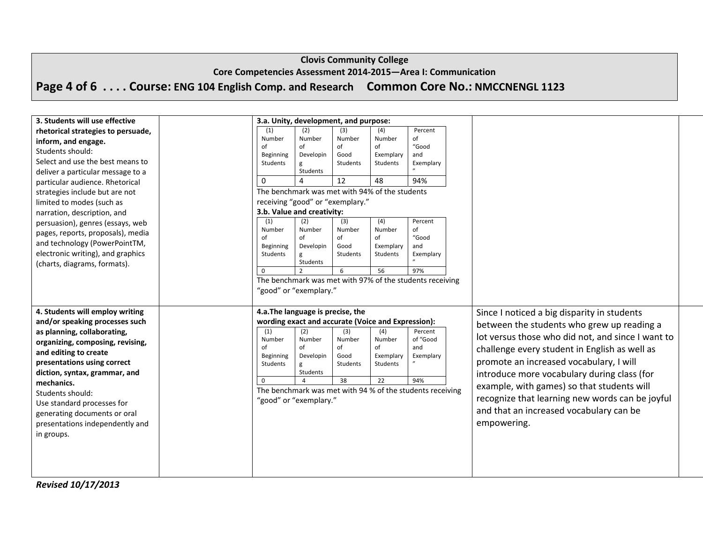#### **Core Competencies Assessment 2014‐2015—Area I: Communication**

Page 4 of 6 . . . . Course: ENG 104 English Comp. and Research Common Core No.: NMCCNENGL 1123

| 3. Students will use effective              |                        | 3.a. Unity, development, and purpose:              |                  |                       |                                                           |  |                                                   |  |
|---------------------------------------------|------------------------|----------------------------------------------------|------------------|-----------------------|-----------------------------------------------------------|--|---------------------------------------------------|--|
| rhetorical strategies to persuade,          | (1)                    | (2)                                                | (3)              | (4)                   | Percent                                                   |  |                                                   |  |
| inform, and engage.                         | Number                 | Number                                             | Number           | Number                | of                                                        |  |                                                   |  |
| Students should:                            | of<br>Beginning        | of<br>Developin                                    | of<br>Good       | of<br>Exemplary       | "Good<br>and                                              |  |                                                   |  |
| Select and use the best means to            | Students               | g                                                  | Students         | Students              | Exemplary                                                 |  |                                                   |  |
| deliver a particular message to a           |                        | Students                                           |                  |                       |                                                           |  |                                                   |  |
| particular audience. Rhetorical             | $\mathbf 0$            |                                                    | 12               | 48                    | 94%                                                       |  |                                                   |  |
| strategies include but are not              |                        | The benchmark was met with 94% of the students     |                  |                       |                                                           |  |                                                   |  |
| limited to modes (such as                   |                        | receiving "good" or "exemplary."                   |                  |                       |                                                           |  |                                                   |  |
| narration, description, and                 |                        | 3.b. Value and creativity:                         |                  |                       |                                                           |  |                                                   |  |
| persuasion), genres (essays, web            | (1)                    | (2)                                                | (3)              | (4)                   | Percent                                                   |  |                                                   |  |
| pages, reports, proposals), media           | Number                 | Number                                             | Number           | Number                | of                                                        |  |                                                   |  |
| and technology (PowerPointTM,               | of<br><b>Beginning</b> | of<br>Developin                                    | of<br>Good       | of<br>Exemplary       | "Good<br>and                                              |  |                                                   |  |
| electronic writing), and graphics           | Students               | g                                                  | Students         | Students              | Exemplary                                                 |  |                                                   |  |
| (charts, diagrams, formats).                |                        | Students                                           |                  |                       |                                                           |  |                                                   |  |
|                                             | $\Omega$               |                                                    | 6                | 56                    | 97%                                                       |  |                                                   |  |
|                                             |                        |                                                    |                  |                       | The benchmark was met with 97% of the students receiving  |  |                                                   |  |
|                                             |                        | "good" or "exemplary."                             |                  |                       |                                                           |  |                                                   |  |
|                                             |                        |                                                    |                  |                       |                                                           |  |                                                   |  |
| 4. Students will employ writing             |                        | 4.a. The language is precise, the                  |                  |                       |                                                           |  | Since I noticed a big disparity in students       |  |
| and/or speaking processes such              |                        | wording exact and accurate (Voice and Expression): |                  |                       |                                                           |  | between the students who grew up reading a        |  |
|                                             |                        |                                                    |                  |                       |                                                           |  |                                                   |  |
| as planning, collaborating,                 | (1)                    | (2)                                                | (3)              | (4)                   | Percent                                                   |  |                                                   |  |
| organizing, composing, revising,            | Number                 | Number                                             | Number           | Number                | of "Good                                                  |  | lot versus those who did not, and since I want to |  |
| and editing to create                       | of                     | of                                                 | of               | of                    | and                                                       |  | challenge every student in English as well as     |  |
| presentations using correct                 | Beginning<br>Students  | Developin                                          | Good<br>Students | Exemplary<br>Students | Exemplary                                                 |  | promote an increased vocabulary, I will           |  |
|                                             |                        | g<br>Students                                      |                  |                       |                                                           |  |                                                   |  |
| diction, syntax, grammar, and<br>mechanics. | $\Omega$               | $\overline{4}$                                     | 38               | 22                    | 94%                                                       |  | introduce more vocabulary during class (for       |  |
| Students should:                            |                        |                                                    |                  |                       | The benchmark was met with 94 % of the students receiving |  | example, with games) so that students will        |  |
|                                             |                        | "good" or "exemplary."                             |                  |                       |                                                           |  | recognize that learning new words can be joyful   |  |
| Use standard processes for                  |                        |                                                    |                  |                       |                                                           |  | and that an increased vocabulary can be           |  |
| generating documents or oral                |                        |                                                    |                  |                       |                                                           |  |                                                   |  |
| presentations independently and             |                        |                                                    |                  |                       |                                                           |  | empowering.                                       |  |
| in groups.                                  |                        |                                                    |                  |                       |                                                           |  |                                                   |  |
|                                             |                        |                                                    |                  |                       |                                                           |  |                                                   |  |
|                                             |                        |                                                    |                  |                       |                                                           |  |                                                   |  |

*Revised 10/17/2013*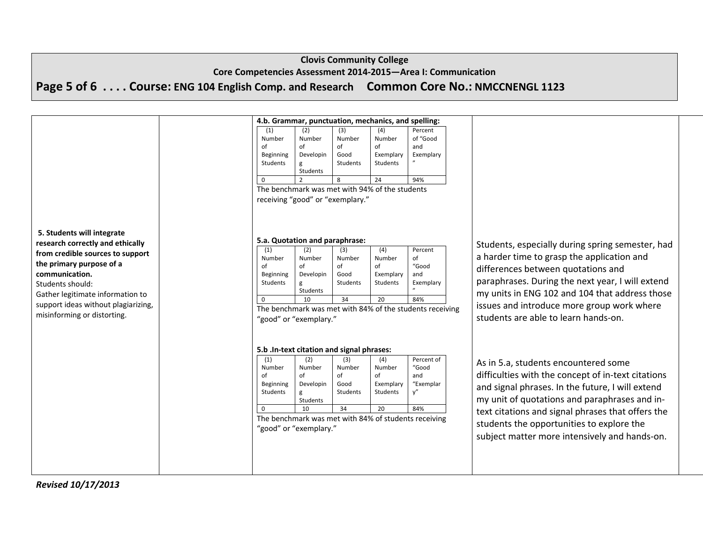**Core Competencies Assessment 2014‐2015—Area I: Communication**

Page 5 of 6 . . . . Course: ENG 104 English Comp. and Research Common Core No.: NMCCNENGL 1123

|                                     |                 |                                           |                 | 4.b. Grammar, punctuation, mechanics, and spelling: |                                                          |                                                    |
|-------------------------------------|-----------------|-------------------------------------------|-----------------|-----------------------------------------------------|----------------------------------------------------------|----------------------------------------------------|
|                                     | (1)             | (2)                                       | (3)             | (4)                                                 | Percent                                                  |                                                    |
|                                     | Number          | Number                                    | Number          | Number                                              | of "Good                                                 |                                                    |
|                                     | Ωf              | of                                        | of              | of                                                  | and                                                      |                                                    |
|                                     | Beginning       | Developin                                 | Good            | Exemplary                                           | Exemplary                                                |                                                    |
|                                     | <b>Students</b> | g                                         | <b>Students</b> | Students                                            |                                                          |                                                    |
|                                     |                 | Students                                  |                 |                                                     |                                                          |                                                    |
|                                     | $\Omega$        |                                           | 8               | 24                                                  | 94%                                                      |                                                    |
|                                     |                 |                                           |                 | The benchmark was met with 94% of the students      |                                                          |                                                    |
|                                     |                 | receiving "good" or "exemplary."          |                 |                                                     |                                                          |                                                    |
|                                     |                 |                                           |                 |                                                     |                                                          |                                                    |
|                                     |                 |                                           |                 |                                                     |                                                          |                                                    |
| 5. Students will integrate          |                 |                                           |                 |                                                     |                                                          |                                                    |
| research correctly and ethically    |                 | 5.a. Quotation and paraphrase:            |                 |                                                     |                                                          |                                                    |
|                                     | (1)             | (2)                                       | (3)             | (4)                                                 | Percent                                                  | Students, especially during spring semester, had   |
| from credible sources to support    | Number          | Number                                    | Number          | Number                                              | of                                                       | a harder time to grasp the application and         |
| the primary purpose of a            | Ωf              | of                                        | of              | of                                                  | "Good                                                    | differences between quotations and                 |
| communication.                      | Beginning       | Developin                                 | Good            | Exemplary                                           | and                                                      |                                                    |
| Students should:                    | Students        | g                                         | Students        | Students                                            | Exemplary                                                | paraphrases. During the next year, I will extend   |
| Gather legitimate information to    |                 | <b>Students</b>                           |                 |                                                     |                                                          | my units in ENG 102 and 104 that address those     |
| support ideas without plagiarizing, | $\mathbf 0$     | 10                                        | 34              | 20                                                  | 84%                                                      | issues and introduce more group work where         |
| misinforming or distorting.         |                 |                                           |                 |                                                     | The benchmark was met with 84% of the students receiving | students are able to learn hands-on.               |
|                                     |                 | "good" or "exemplary."                    |                 |                                                     |                                                          |                                                    |
|                                     |                 |                                           |                 |                                                     |                                                          |                                                    |
|                                     |                 |                                           |                 |                                                     |                                                          |                                                    |
|                                     |                 | 5.b .In-text citation and signal phrases: |                 |                                                     |                                                          |                                                    |
|                                     | (1)             | (2)                                       | (3)             | (4)                                                 | Percent of                                               |                                                    |
|                                     | Number          | Number                                    | Number          | Number                                              | "Good                                                    | As in 5.a, students encountered some               |
|                                     | оf              | of                                        | of              | of                                                  | and                                                      | difficulties with the concept of in-text citations |
|                                     | Beginning       | Developin                                 | Good            | Exemplary                                           | "Exemplar                                                | and signal phrases. In the future, I will extend   |
|                                     | Students        | g                                         | Students        | Students                                            | y"                                                       |                                                    |
|                                     |                 | Students                                  |                 |                                                     |                                                          | my unit of quotations and paraphrases and in-      |
|                                     | $\Omega$        | 10                                        | 34              | 20                                                  | 84%                                                      | text citations and signal phrases that offers the  |
|                                     |                 |                                           |                 |                                                     | The benchmark was met with 84% of students receiving     | students the opportunities to explore the          |
|                                     |                 | "good" or "exemplary."                    |                 |                                                     |                                                          |                                                    |
|                                     |                 |                                           |                 |                                                     |                                                          | subject matter more intensively and hands-on.      |
|                                     |                 |                                           |                 |                                                     |                                                          |                                                    |
|                                     |                 |                                           |                 |                                                     |                                                          |                                                    |
|                                     |                 |                                           |                 |                                                     |                                                          |                                                    |
|                                     |                 |                                           |                 |                                                     |                                                          |                                                    |

*Revised 10/17/2013*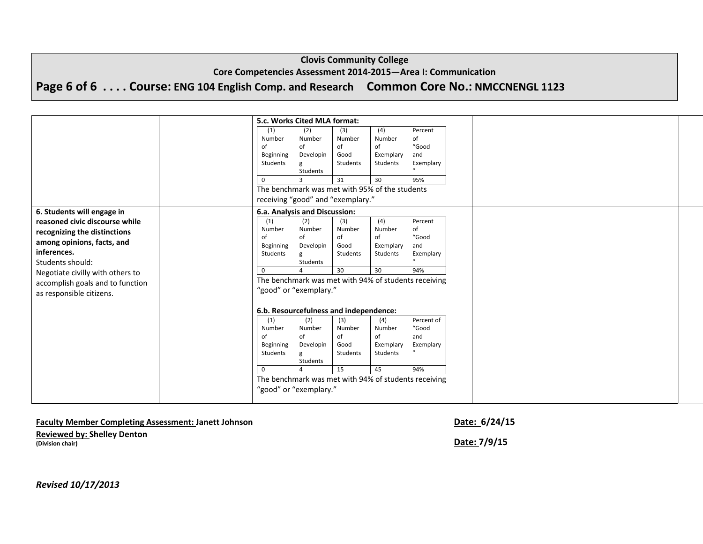## **Core Competencies Assessment 2014‐2015—Area I: Communication**

# Page 6 of 6 . . . . Course: ENG 104 English Comp. and Research Common Core No.: NMCCNENGL 1123

|                                  | 5.c. Works Cited MLA format:                         |           |          |           |                                                      |  |  |
|----------------------------------|------------------------------------------------------|-----------|----------|-----------|------------------------------------------------------|--|--|
|                                  | (1)                                                  | (2)       | (3)      | (4)       | Percent                                              |  |  |
|                                  | Number                                               | Number    | Number   | Number    | of                                                   |  |  |
|                                  | of                                                   | of        | of       | of        | "Good                                                |  |  |
|                                  | Beginning                                            | Developin | Good     | Exemplary | and                                                  |  |  |
|                                  | Students                                             | g         | Students | Students  | Exemplary                                            |  |  |
|                                  |                                                      | Students  |          |           |                                                      |  |  |
|                                  | 0                                                    |           | 31       | 30        | 95%                                                  |  |  |
|                                  | The benchmark was met with 95% of the students       |           |          |           |                                                      |  |  |
|                                  | receiving "good" and "exemplary."                    |           |          |           |                                                      |  |  |
| 6. Students will engage in       | 6.a. Analysis and Discussion:                        |           |          |           |                                                      |  |  |
| reasoned civic discourse while   | (1)                                                  | (2)       | (3)      | (4)       | Percent                                              |  |  |
| recognizing the distinctions     | Number                                               | Number    | Number   | Number    | of                                                   |  |  |
| among opinions, facts, and       | of                                                   | of        | of       | of        | "Good                                                |  |  |
| inferences.                      | Beginning                                            | Developin | Good     | Exemplary | and                                                  |  |  |
|                                  | Students                                             | g         | Students | Students  | Exemplary                                            |  |  |
| Students should:                 | 0                                                    | Students  | 30       | 30        | 94%                                                  |  |  |
| Negotiate civilly with others to |                                                      |           |          |           |                                                      |  |  |
| accomplish goals and to function | The benchmark was met with 94% of students receiving |           |          |           |                                                      |  |  |
| as responsible citizens.         | "good" or "exemplary."                               |           |          |           |                                                      |  |  |
|                                  | 6.b. Resourcefulness and independence:               |           |          |           |                                                      |  |  |
|                                  | (1)                                                  | (2)       | (3)      | (4)       | Percent of                                           |  |  |
|                                  | Number                                               | Number    | Number   | Number    | "Good                                                |  |  |
|                                  | of                                                   | of        | of       | of        | and                                                  |  |  |
|                                  | Beginning                                            | Developin | Good     | Exemplary | Exemplary                                            |  |  |
|                                  | Students                                             | g         | Students | Students  |                                                      |  |  |
|                                  |                                                      | Students  |          |           |                                                      |  |  |
|                                  | 0                                                    |           | 15       | 45        | 94%                                                  |  |  |
|                                  |                                                      |           |          |           | The benchmark was met with 94% of students receiving |  |  |
|                                  | "good" or "exemplary."                               |           |          |           |                                                      |  |  |
|                                  |                                                      |           |          |           |                                                      |  |  |

## **Faculty Member Completing Assessment: Janett Johnson Date: 6/24/15**

**Reviewed by: Shelley Denton (Division chair) Date: 7/9/15**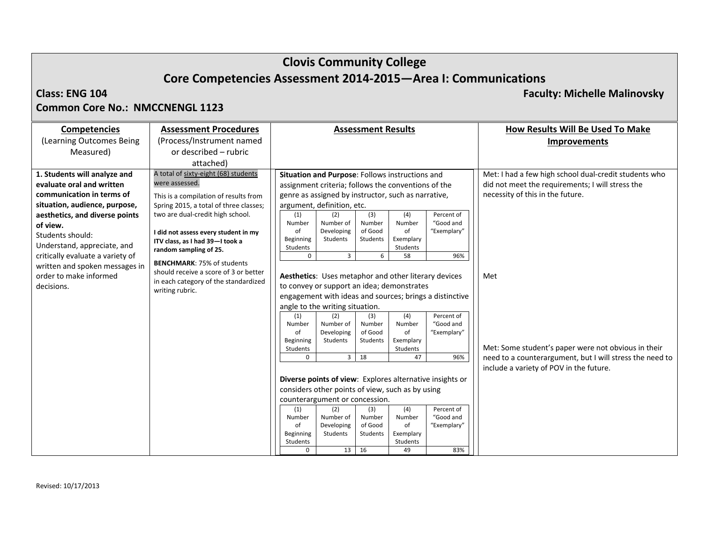# **Clovis Community College Core Competencies Assessment 2014‐2015—Area I: Communications**

## **Class: ENG**

**104 Faculty: Michelle Malinovsky**

## **Common Core No.: NMCCNENGL 1123**

| <b>Competencies</b>                                                                                                                                                                                                                                                                                                                    | <b>Assessment Procedures</b>                                                                                                                                                                                                                                                                                                                                                                                                |                                                                                                                                              |                                                                                                                                                                                                                                                                                                                                                                                                                                                                                                                                                                                | <b>Assessment Results</b>                                                                                |                                                                                                                           |                                                                                                                                                                                                                                                  | How Results Will Be Used To Make                                                                                                                                                                                                                                                                                   |
|----------------------------------------------------------------------------------------------------------------------------------------------------------------------------------------------------------------------------------------------------------------------------------------------------------------------------------------|-----------------------------------------------------------------------------------------------------------------------------------------------------------------------------------------------------------------------------------------------------------------------------------------------------------------------------------------------------------------------------------------------------------------------------|----------------------------------------------------------------------------------------------------------------------------------------------|--------------------------------------------------------------------------------------------------------------------------------------------------------------------------------------------------------------------------------------------------------------------------------------------------------------------------------------------------------------------------------------------------------------------------------------------------------------------------------------------------------------------------------------------------------------------------------|----------------------------------------------------------------------------------------------------------|---------------------------------------------------------------------------------------------------------------------------|--------------------------------------------------------------------------------------------------------------------------------------------------------------------------------------------------------------------------------------------------|--------------------------------------------------------------------------------------------------------------------------------------------------------------------------------------------------------------------------------------------------------------------------------------------------------------------|
| (Learning Outcomes Being)                                                                                                                                                                                                                                                                                                              | (Process/Instrument named                                                                                                                                                                                                                                                                                                                                                                                                   |                                                                                                                                              |                                                                                                                                                                                                                                                                                                                                                                                                                                                                                                                                                                                |                                                                                                          |                                                                                                                           |                                                                                                                                                                                                                                                  | <b>Improvements</b>                                                                                                                                                                                                                                                                                                |
| Measured)                                                                                                                                                                                                                                                                                                                              | or described - rubric                                                                                                                                                                                                                                                                                                                                                                                                       |                                                                                                                                              |                                                                                                                                                                                                                                                                                                                                                                                                                                                                                                                                                                                |                                                                                                          |                                                                                                                           |                                                                                                                                                                                                                                                  |                                                                                                                                                                                                                                                                                                                    |
|                                                                                                                                                                                                                                                                                                                                        | attached)                                                                                                                                                                                                                                                                                                                                                                                                                   |                                                                                                                                              |                                                                                                                                                                                                                                                                                                                                                                                                                                                                                                                                                                                |                                                                                                          |                                                                                                                           |                                                                                                                                                                                                                                                  |                                                                                                                                                                                                                                                                                                                    |
| 1. Students will analyze and<br>evaluate oral and written<br>communication in terms of<br>situation, audience, purpose,<br>aesthetics, and diverse points<br>of view.<br>Students should:<br>Understand, appreciate, and<br>critically evaluate a variety of<br>written and spoken messages in<br>order to make informed<br>decisions. | A total of sixty-eight (68) students<br>were assessed.<br>This is a compilation of results from<br>Spring 2015, a total of three classes;<br>two are dual-credit high school.<br>I did not assess every student in my<br>ITV class, as I had 39-I took a<br>random sampling of 25.<br><b>BENCHMARK: 75% of students</b><br>should receive a score of 3 or better<br>in each category of the standardized<br>writing rubric. | (1)<br>Number<br>of<br>Beginning<br>Students<br>$\mathbf 0$<br>(1)<br>Number<br>of<br>Beginning<br>Students<br>$\mathbf{0}$<br>(1)<br>Number | Situation and Purpose: Follows instructions and<br>assignment criteria; follows the conventions of the<br>genre as assigned by instructor, such as narrative,<br>argument, definition, etc.<br>(2)<br>Number of<br>Developing<br>Students<br>$\overline{3}$<br>Aesthetics: Uses metaphor and other literary devices<br>to convey or support an idea; demonstrates<br>angle to the writing situation.<br>(2)<br>Number of<br>Developing<br>Students<br>$\overline{3}$<br>considers other points of view, such as by using<br>counterargument or concession.<br>(2)<br>Number of | (3)<br>Number<br>of Good<br>Students<br>6<br>(3)<br>Number<br>of Good<br>Students<br>18<br>(3)<br>Number | (4)<br>Number<br>of<br>Exemplary<br>Students<br>58<br>(4)<br>Number<br>of<br>Exemplary<br>Students<br>47<br>(4)<br>Number | Percent of<br>"Good and<br>"Exemplary"<br>96%<br>engagement with ideas and sources; brings a distinctive<br>Percent of<br>"Good and<br>"Exemplary"<br>96%<br>Diverse points of view: Explores alternative insights or<br>Percent of<br>"Good and | Met: I had a few high school dual-credit students who<br>did not meet the requirements; I will stress the<br>necessity of this in the future.<br>Met<br>Met: Some student's paper were not obvious in their<br>need to a counterargument, but I will stress the need to<br>include a variety of POV in the future. |
|                                                                                                                                                                                                                                                                                                                                        |                                                                                                                                                                                                                                                                                                                                                                                                                             | of                                                                                                                                           | Developing                                                                                                                                                                                                                                                                                                                                                                                                                                                                                                                                                                     | of Good                                                                                                  | of                                                                                                                        | "Exemplary"                                                                                                                                                                                                                                      |                                                                                                                                                                                                                                                                                                                    |
|                                                                                                                                                                                                                                                                                                                                        |                                                                                                                                                                                                                                                                                                                                                                                                                             | Beginning                                                                                                                                    | Students                                                                                                                                                                                                                                                                                                                                                                                                                                                                                                                                                                       | Students                                                                                                 | Exemplary                                                                                                                 |                                                                                                                                                                                                                                                  |                                                                                                                                                                                                                                                                                                                    |
|                                                                                                                                                                                                                                                                                                                                        |                                                                                                                                                                                                                                                                                                                                                                                                                             | Students                                                                                                                                     |                                                                                                                                                                                                                                                                                                                                                                                                                                                                                                                                                                                |                                                                                                          | Students                                                                                                                  |                                                                                                                                                                                                                                                  |                                                                                                                                                                                                                                                                                                                    |
|                                                                                                                                                                                                                                                                                                                                        |                                                                                                                                                                                                                                                                                                                                                                                                                             | $\Omega$                                                                                                                                     | 13 <sup>1</sup>                                                                                                                                                                                                                                                                                                                                                                                                                                                                                                                                                                | 16                                                                                                       | 49                                                                                                                        | 83%                                                                                                                                                                                                                                              |                                                                                                                                                                                                                                                                                                                    |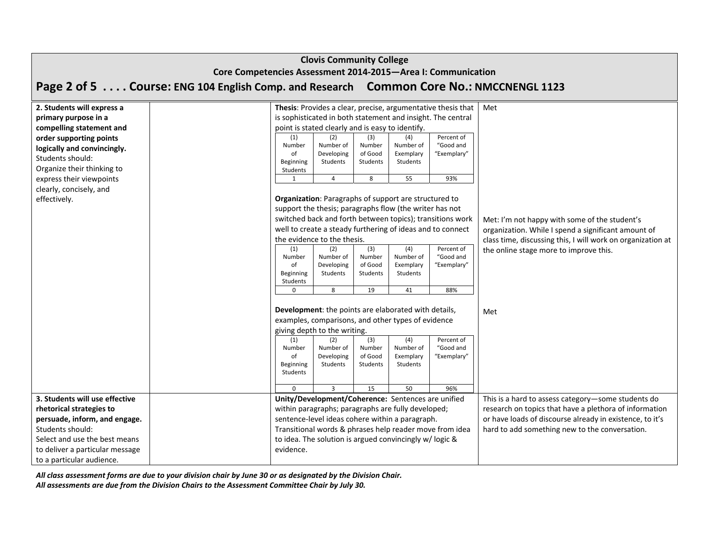|                                                                                                                                                   | <b>Clovis Community College</b><br>Core Competencies Assessment 2014-2015-Area I: Communication |                                                       |  |                                                  |                                                                                                                                                                                                                             |                                                                                                                                                                      |                                                                                                                                                                     |  |  |  |  |
|---------------------------------------------------------------------------------------------------------------------------------------------------|-------------------------------------------------------------------------------------------------|-------------------------------------------------------|--|--------------------------------------------------|-----------------------------------------------------------------------------------------------------------------------------------------------------------------------------------------------------------------------------|----------------------------------------------------------------------------------------------------------------------------------------------------------------------|---------------------------------------------------------------------------------------------------------------------------------------------------------------------|--|--|--|--|
|                                                                                                                                                   | Page 2 of 5 Course: ENG 104 English Comp. and Research Common Core No.: NMCCNENGL 1123          |                                                       |  |                                                  |                                                                                                                                                                                                                             |                                                                                                                                                                      |                                                                                                                                                                     |  |  |  |  |
| 2. Students will express a<br>primary purpose in a<br>compelling statement and                                                                    |                                                                                                 | point is stated clearly and is easy to identify.      |  |                                                  |                                                                                                                                                                                                                             | Thesis: Provides a clear, precise, argumentative thesis that<br>is sophisticated in both statement and insight. The central                                          | Met                                                                                                                                                                 |  |  |  |  |
| order supporting points<br>logically and convincingly.<br>Students should:<br>Organize their thinking to                                          | (1)<br>Number<br>of<br>Beginning<br>Students                                                    | (2)<br>Number of<br>Developing<br>Students            |  | (3)<br>Number<br>of Good<br>Students             | (4)<br>Number of<br>Exemplary<br>Students                                                                                                                                                                                   | Percent of<br>"Good and<br>"Exemplary"                                                                                                                               |                                                                                                                                                                     |  |  |  |  |
| express their viewpoints                                                                                                                          | 1                                                                                               | 4                                                     |  | 8                                                | 55                                                                                                                                                                                                                          | 93%                                                                                                                                                                  |                                                                                                                                                                     |  |  |  |  |
| clearly, concisely, and<br>effectively.                                                                                                           | (1)                                                                                             | the evidence to the thesis.                           |  | (3)                                              | Organization: Paragraphs of support are structured to<br>support the thesis; paragraphs flow (the writer has not<br>(4)                                                                                                     | switched back and forth between topics); transitions work<br>well to create a steady furthering of ideas and to connect<br>Percent of                                | Met: I'm not happy with some of the student's<br>organization. While I spend a significant amount of<br>class time, discussing this, I will work on organization at |  |  |  |  |
|                                                                                                                                                   | Number<br>of<br>Beginning<br>Students                                                           | (2)<br>Number of<br>Developing<br>Students            |  | Number<br>of Good<br>Students                    | Number of<br>Exemplary<br>Students                                                                                                                                                                                          | "Good and<br>"Exemplary"                                                                                                                                             | the online stage more to improve this.                                                                                                                              |  |  |  |  |
|                                                                                                                                                   | $\Omega$                                                                                        | 8                                                     |  | 19                                               | 41                                                                                                                                                                                                                          | 88%                                                                                                                                                                  |                                                                                                                                                                     |  |  |  |  |
|                                                                                                                                                   | (1)                                                                                             | giving depth to the writing.<br>(2)                   |  | (3)                                              | Development: the points are elaborated with details,<br>examples, comparisons, and other types of evidence<br>(4)                                                                                                           | Met                                                                                                                                                                  |                                                                                                                                                                     |  |  |  |  |
|                                                                                                                                                   | Number<br>of<br>Beginning<br>Students<br>$\Omega$                                               | Number of<br>Developing<br>Students<br>$\overline{3}$ |  | Number<br>of Good<br>Students<br>$\overline{15}$ | Number of<br>Exemplary<br>Students<br>50                                                                                                                                                                                    | "Good and<br>"Exemplary"<br>96%                                                                                                                                      |                                                                                                                                                                     |  |  |  |  |
| 3. Students will use effective                                                                                                                    |                                                                                                 |                                                       |  |                                                  | Unity/Development/Coherence: Sentences are unified                                                                                                                                                                          |                                                                                                                                                                      | This is a hard to assess category-some students do                                                                                                                  |  |  |  |  |
| rhetorical strategies to<br>persuade, inform, and engage.<br>Students should:<br>Select and use the best means<br>to deliver a particular message | evidence.                                                                                       |                                                       |  |                                                  | within paragraphs; paragraphs are fully developed;<br>sentence-level ideas cohere within a paragraph.<br>Transitional words & phrases help reader move from idea<br>to idea. The solution is argued convincingly w/ logic & | research on topics that have a plethora of information<br>or have loads of discourse already in existence, to it's<br>hard to add something new to the conversation. |                                                                                                                                                                     |  |  |  |  |
| to a particular audience.                                                                                                                         |                                                                                                 |                                                       |  |                                                  |                                                                                                                                                                                                                             |                                                                                                                                                                      |                                                                                                                                                                     |  |  |  |  |

All class assessment forms are due to your division chair by June 30 or as designated by the Division Chair.

*All assessments are due from the Division Chairs to the Assessment Committee Chair by July 30.*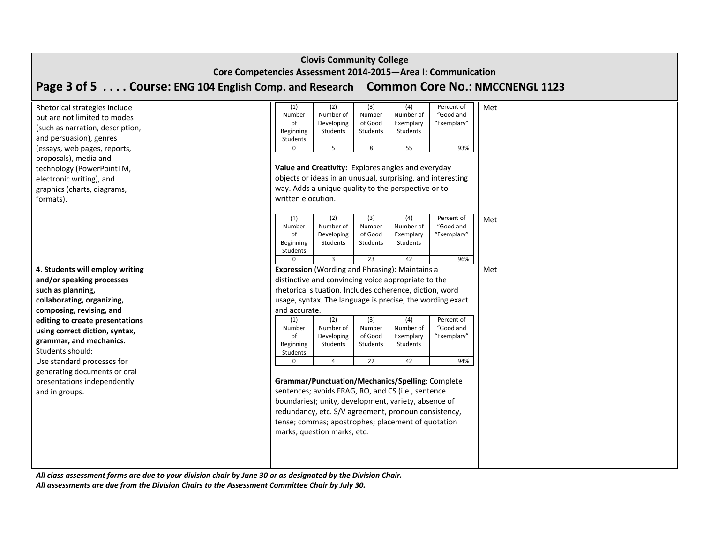| <b>Clovis Community College</b><br>Core Competencies Assessment 2014-2015-Area I: Communication                                                                                                                                                                                                                                                                                |                                                                                                                                                                                                                                                                                                                                                                                                                                                                                                                                                                                                                                                                                                                                                                                                                                                              |  |  |  |  |  |  |  |  |  |  |
|--------------------------------------------------------------------------------------------------------------------------------------------------------------------------------------------------------------------------------------------------------------------------------------------------------------------------------------------------------------------------------|--------------------------------------------------------------------------------------------------------------------------------------------------------------------------------------------------------------------------------------------------------------------------------------------------------------------------------------------------------------------------------------------------------------------------------------------------------------------------------------------------------------------------------------------------------------------------------------------------------------------------------------------------------------------------------------------------------------------------------------------------------------------------------------------------------------------------------------------------------------|--|--|--|--|--|--|--|--|--|--|
|                                                                                                                                                                                                                                                                                                                                                                                | Page 3 of 5 Course: ENG 104 English Comp. and Research Common Core No.: NMCCNENGL 1123                                                                                                                                                                                                                                                                                                                                                                                                                                                                                                                                                                                                                                                                                                                                                                       |  |  |  |  |  |  |  |  |  |  |
| Rhetorical strategies include<br>but are not limited to modes<br>(such as narration, description,<br>and persuasion), genres<br>(essays, web pages, reports,                                                                                                                                                                                                                   | (3)<br>(1)<br>(4)<br>Percent of<br>Met<br>(2)<br>Number<br>Number<br>Number of<br>Number of<br>"Good and<br>of Good<br>"Exemplary"<br>of<br>Developing<br>Exemplary<br>Students<br>Beginning<br>Students<br>Students<br>Students<br>5<br>8<br>55<br>93%<br>0                                                                                                                                                                                                                                                                                                                                                                                                                                                                                                                                                                                                 |  |  |  |  |  |  |  |  |  |  |
| proposals), media and<br>technology (PowerPointTM,<br>electronic writing), and<br>graphics (charts, diagrams,<br>formats).                                                                                                                                                                                                                                                     | Value and Creativity: Explores angles and everyday<br>objects or ideas in an unusual, surprising, and interesting<br>way. Adds a unique quality to the perspective or to<br>written elocution.                                                                                                                                                                                                                                                                                                                                                                                                                                                                                                                                                                                                                                                               |  |  |  |  |  |  |  |  |  |  |
|                                                                                                                                                                                                                                                                                                                                                                                | (2)<br>(3)<br>(4)<br>Percent of<br>(1)<br>Met<br>Number<br>Number of<br>Number<br>Number of<br>"Good and<br>of<br>of Good<br>"Exemplary"<br>Developing<br>Exemplary<br>Beginning<br>Students<br>Students<br>Students<br>Students<br>96%<br>$\overline{3}$<br>23<br>42<br>$\Omega$                                                                                                                                                                                                                                                                                                                                                                                                                                                                                                                                                                            |  |  |  |  |  |  |  |  |  |  |
| 4. Students will employ writing<br>and/or speaking processes<br>such as planning,<br>collaborating, organizing,<br>composing, revising, and<br>editing to create presentations<br>using correct diction, syntax,<br>grammar, and mechanics.<br>Students should:<br>Use standard processes for<br>generating documents or oral<br>presentations independently<br>and in groups. | <b>Expression</b> (Wording and Phrasing): Maintains a<br>Met<br>distinctive and convincing voice appropriate to the<br>rhetorical situation. Includes coherence, diction, word<br>usage, syntax. The language is precise, the wording exact<br>and accurate.<br>(2)<br>(3)<br>(4)<br>(1)<br>Percent of<br>Number<br>Number of<br>Number<br>Number of<br>"Good and<br>"Exemplary"<br>of<br>Developing<br>of Good<br>Exemplary<br>Beginning<br>Students<br>Students<br>Students<br>Students<br>$\mathbf 0$<br>$\overline{4}$<br>22<br>42<br>94%<br>Grammar/Punctuation/Mechanics/Spelling: Complete<br>sentences; avoids FRAG, RO, and CS (i.e., sentence<br>boundaries); unity, development, variety, absence of<br>redundancy, etc. S/V agreement, pronoun consistency,<br>tense; commas; apostrophes; placement of quotation<br>marks, question marks, etc. |  |  |  |  |  |  |  |  |  |  |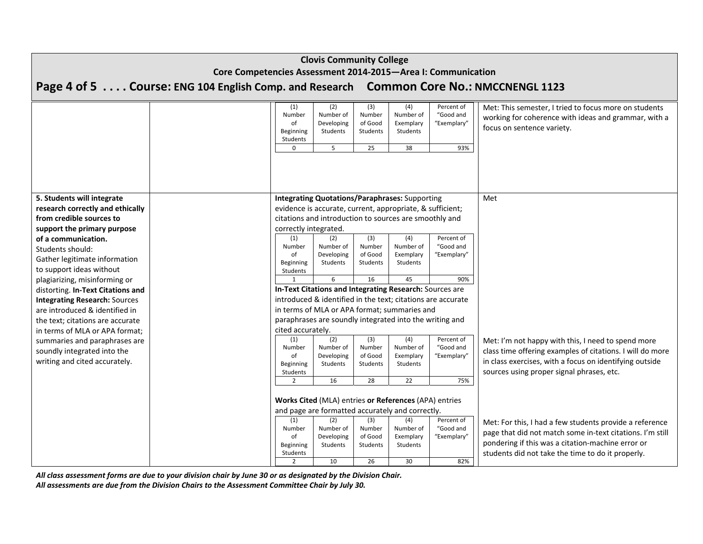| <b>Clovis Community College</b><br>Core Competencies Assessment 2014-2015-Area I: Communication      |                                                                                        |                                                                |                                                                                                                    |                                            |                                                 |                                               |                                                                                                                                                                                                                                |  |  |  |  |
|------------------------------------------------------------------------------------------------------|----------------------------------------------------------------------------------------|----------------------------------------------------------------|--------------------------------------------------------------------------------------------------------------------|--------------------------------------------|-------------------------------------------------|-----------------------------------------------|--------------------------------------------------------------------------------------------------------------------------------------------------------------------------------------------------------------------------------|--|--|--|--|
|                                                                                                      | Page 4 of 5 Course: ENG 104 English Comp. and Research Common Core No.: NMCCNENGL 1123 |                                                                |                                                                                                                    |                                            |                                                 |                                               |                                                                                                                                                                                                                                |  |  |  |  |
|                                                                                                      |                                                                                        |                                                                |                                                                                                                    |                                            |                                                 |                                               |                                                                                                                                                                                                                                |  |  |  |  |
|                                                                                                      |                                                                                        | (1)<br>Number<br>of<br>Beginning<br>Students                   | (2)<br>Number of<br>Developing<br>Students                                                                         | (3)<br>Number<br>of Good<br>Students       | (4)<br>Number of<br>Exemplary<br>Students       | Percent of<br>"Good and<br>"Exemplary"        | Met: This semester, I tried to focus more on students<br>working for coherence with ideas and grammar, with a<br>focus on sentence variety.                                                                                    |  |  |  |  |
|                                                                                                      |                                                                                        | $\mathbf 0$                                                    | 5                                                                                                                  | 25                                         | 38                                              | 93%                                           |                                                                                                                                                                                                                                |  |  |  |  |
| 5. Students will integrate<br>research correctly and ethically                                       |                                                                                        |                                                                | <b>Integrating Quotations/Paraphrases: Supporting</b><br>evidence is accurate, current, appropriate, & sufficient; |                                            |                                                 |                                               | Met                                                                                                                                                                                                                            |  |  |  |  |
| from credible sources to<br>support the primary purpose                                              |                                                                                        | correctly integrated.                                          | citations and introduction to sources are smoothly and                                                             |                                            |                                                 |                                               |                                                                                                                                                                                                                                |  |  |  |  |
| of a communication.<br>Students should:<br>Gather legitimate information<br>to support ideas without |                                                                                        | (1)<br>Number<br>of<br>Beginning<br>Students                   | (2)<br>Number of<br>Developing<br>Students                                                                         | (3)<br>Number<br>of Good<br>Students       | (4)<br>Number of<br>Exemplary<br>Students       | Percent of<br>"Good and<br>"Exemplary"        |                                                                                                                                                                                                                                |  |  |  |  |
| plagiarizing, misinforming or                                                                        |                                                                                        | 1                                                              | 6                                                                                                                  | 16                                         | 45                                              | 90%                                           |                                                                                                                                                                                                                                |  |  |  |  |
| distorting. In-Text Citations and                                                                    |                                                                                        |                                                                | <b>In-Text Citations and Integrating Research: Sources are</b>                                                     |                                            |                                                 |                                               |                                                                                                                                                                                                                                |  |  |  |  |
| <b>Integrating Research: Sources</b>                                                                 |                                                                                        |                                                                | introduced & identified in the text; citations are accurate                                                        |                                            |                                                 |                                               |                                                                                                                                                                                                                                |  |  |  |  |
| are introduced & identified in                                                                       |                                                                                        |                                                                | in terms of MLA or APA format; summaries and                                                                       |                                            |                                                 |                                               |                                                                                                                                                                                                                                |  |  |  |  |
| the text; citations are accurate<br>in terms of MLA or APA format;                                   |                                                                                        | cited accurately.                                              | paraphrases are soundly integrated into the writing and                                                            |                                            |                                                 |                                               |                                                                                                                                                                                                                                |  |  |  |  |
| summaries and paraphrases are<br>soundly integrated into the<br>writing and cited accurately.        |                                                                                        | (1)<br>Number<br>of<br>Beginning<br>Students<br>$\overline{2}$ | (2)<br>Number of<br>Developing<br>Students<br>16                                                                   | (3)<br>Number<br>of Good<br>Students<br>28 | (4)<br>Number of<br>Exemplary<br>Students<br>22 | Percent of<br>"Good and<br>"Exemplary"<br>75% | Met: I'm not happy with this, I need to spend more<br>class time offering examples of citations. I will do more<br>in class exercises, with a focus on identifying outside<br>sources using proper signal phrases, etc.        |  |  |  |  |
|                                                                                                      |                                                                                        |                                                                |                                                                                                                    |                                            |                                                 |                                               |                                                                                                                                                                                                                                |  |  |  |  |
|                                                                                                      |                                                                                        |                                                                | Works Cited (MLA) entries or References (APA) entries                                                              |                                            |                                                 |                                               |                                                                                                                                                                                                                                |  |  |  |  |
|                                                                                                      |                                                                                        |                                                                | and page are formatted accurately and correctly.                                                                   |                                            |                                                 |                                               |                                                                                                                                                                                                                                |  |  |  |  |
|                                                                                                      |                                                                                        | (1)<br>Number<br>of<br>Beginning<br>Students                   | (2)<br>Number of<br>Developing<br>Students                                                                         | (3)<br>Number<br>of Good<br>Students       | (4)<br>Number of<br>Exemplary<br>Students       | Percent of<br>"Good and<br>"Exemplary"        | Met: For this, I had a few students provide a reference<br>page that did not match some in-text citations. I'm still<br>pondering if this was a citation-machine error or<br>students did not take the time to do it properly. |  |  |  |  |
|                                                                                                      |                                                                                        | $\overline{2}$                                                 | 10                                                                                                                 | 26                                         | 30                                              | 82%                                           |                                                                                                                                                                                                                                |  |  |  |  |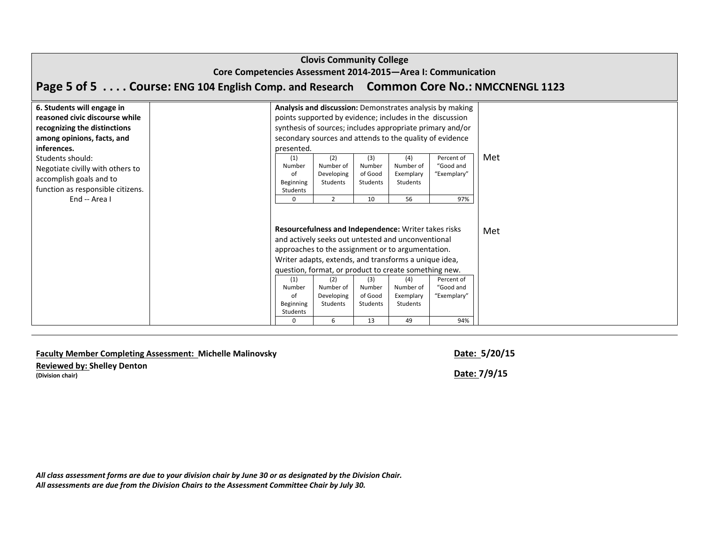|                                                                                                                                           | <b>Clovis Community College</b><br>Core Competencies Assessment 2014-2015-Area I: Communication |                                                             |                                                              |                                            |                                                                                                                                                                                                                                                                                                                                      |                                                                                                                                                                                                                                               |     |  |  |  |  |  |
|-------------------------------------------------------------------------------------------------------------------------------------------|-------------------------------------------------------------------------------------------------|-------------------------------------------------------------|--------------------------------------------------------------|--------------------------------------------|--------------------------------------------------------------------------------------------------------------------------------------------------------------------------------------------------------------------------------------------------------------------------------------------------------------------------------------|-----------------------------------------------------------------------------------------------------------------------------------------------------------------------------------------------------------------------------------------------|-----|--|--|--|--|--|
|                                                                                                                                           | Page 5 of 5 Course: ENG 104 English Comp. and Research Common Core No.: NMCCNENGL 1123          |                                                             |                                                              |                                            |                                                                                                                                                                                                                                                                                                                                      |                                                                                                                                                                                                                                               |     |  |  |  |  |  |
| 6. Students will engage in<br>reasoned civic discourse while<br>recognizing the distinctions<br>among opinions, facts, and<br>inferences. |                                                                                                 | presented.                                                  |                                                              |                                            |                                                                                                                                                                                                                                                                                                                                      | Analysis and discussion: Demonstrates analysis by making<br>points supported by evidence; includes in the discussion<br>synthesis of sources; includes appropriate primary and/or<br>secondary sources and attends to the quality of evidence |     |  |  |  |  |  |
| Students should:<br>Negotiate civilly with others to<br>accomplish goals and to<br>function as responsible citizens.<br>End -- Area I     |                                                                                                 | (1)<br>Number<br>of<br>Beginning<br>Students<br>$\mathbf 0$ | (2)<br>Number of<br>Developing<br>Students<br>$\overline{2}$ | (3)<br>Number<br>of Good<br>Students<br>10 | (4)<br>Number of<br>Exemplary<br><b>Students</b><br>56                                                                                                                                                                                                                                                                               | Percent of<br>"Good and<br>"Exemplary"<br>97%                                                                                                                                                                                                 | Met |  |  |  |  |  |
|                                                                                                                                           |                                                                                                 | (1)<br>Number<br>of<br>Beginning<br>Students<br>$\Omega$    | (2)<br>Number of<br>Developing<br>Students<br>6              | (3)<br>Number<br>of Good<br>Students<br>13 | Resourcefulness and Independence: Writer takes risks<br>and actively seeks out untested and unconventional<br>approaches to the assignment or to argumentation.<br>Writer adapts, extends, and transforms a unique idea,<br>question, format, or product to create something new.<br>(4)<br>Number of<br>Exemplary<br>Students<br>49 | Percent of<br>"Good and<br>"Exemplary"<br>94%                                                                                                                                                                                                 | Met |  |  |  |  |  |

# **Faculty Member Completing Assessment: Michelle Malinovsky Date: 5/20/15**

**Reviewed by: Shelley Denton (Division chair) Date: 7/9/15**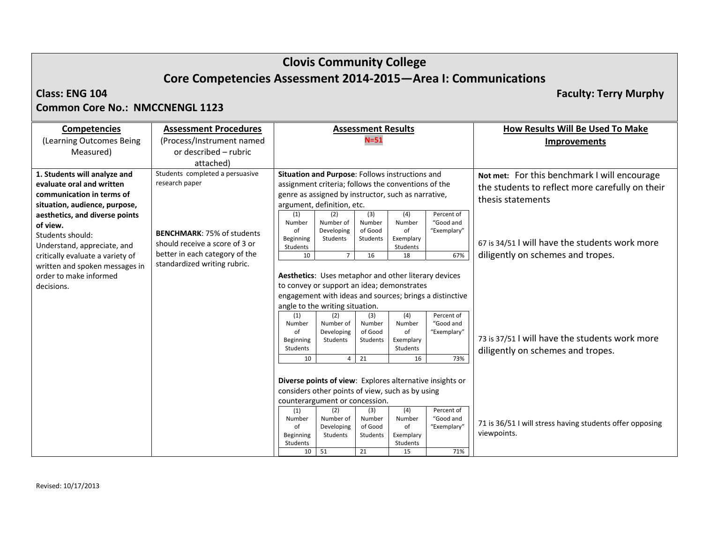# **Clovis Community College Core Competencies Assessment 2014‐2015—Area I: Communications**

#### **Class: ENG**

**104 Faculty: Terry Murphy**

## **Common Core No.: NMCCNENGL 1123**

| <b>Competencies</b>              | <b>Assessment Procedures</b>      |                                                         |                                                      | <b>Assessment Results</b> |              |                                                          | <b>How Results Will Be Used To Make</b>                  |
|----------------------------------|-----------------------------------|---------------------------------------------------------|------------------------------------------------------|---------------------------|--------------|----------------------------------------------------------|----------------------------------------------------------|
| (Learning Outcomes Being         | (Process/Instrument named         |                                                         |                                                      | $N = 51$                  |              |                                                          | Improvements                                             |
| Measured)                        | or described – rubric             |                                                         |                                                      |                           |              |                                                          |                                                          |
|                                  | attached)                         |                                                         |                                                      |                           |              |                                                          |                                                          |
| 1. Students will analyze and     | Students completed a persuasive   |                                                         | Situation and Purpose: Follows instructions and      |                           |              |                                                          | Not met: For this benchmark I will encourage             |
| evaluate oral and written        | research paper                    |                                                         | assignment criteria; follows the conventions of the  |                           |              |                                                          | the students to reflect more carefully on their          |
| communication in terms of        |                                   |                                                         | genre as assigned by instructor, such as narrative,  |                           |              |                                                          | thesis statements                                        |
| situation, audience, purpose,    |                                   |                                                         | argument, definition, etc.                           |                           |              |                                                          |                                                          |
| aesthetics, and diverse points   |                                   | (1)                                                     | (2)                                                  | (3)                       | (4)          | Percent of<br>"Good and                                  |                                                          |
| of view.                         |                                   | Number<br>of                                            | Number of<br>Developing                              | Number<br>of Good         | Number<br>of | "Exemplary"                                              |                                                          |
| Students should:                 | <b>BENCHMARK: 75% of students</b> | Beginning                                               | Students                                             | Students                  | Exemplary    |                                                          |                                                          |
| Understand, appreciate, and      | should receive a score of 3 or    | Students                                                |                                                      |                           | Students     |                                                          | 67 is 34/51 I will have the students work more           |
| critically evaluate a variety of | better in each category of the    | 10                                                      | $\overline{7}$                                       | 16                        | 18           | 67%                                                      | diligently on schemes and tropes.                        |
| written and spoken messages in   | standardized writing rubric.      |                                                         |                                                      |                           |              |                                                          |                                                          |
| order to make informed           |                                   |                                                         | Aesthetics: Uses metaphor and other literary devices |                           |              |                                                          |                                                          |
| decisions.                       |                                   |                                                         | to convey or support an idea; demonstrates           |                           |              |                                                          |                                                          |
|                                  |                                   | engagement with ideas and sources; brings a distinctive |                                                      |                           |              |                                                          |                                                          |
|                                  |                                   |                                                         | angle to the writing situation.                      |                           |              |                                                          |                                                          |
|                                  |                                   | (1)                                                     | (2)                                                  | (3)                       | (4)          | Percent of                                               |                                                          |
|                                  |                                   | Number<br>of                                            | Number of<br>Developing                              | Number<br>of Good         | Number<br>of | "Good and<br>"Exemplary"                                 |                                                          |
|                                  |                                   | Beginning                                               | Students                                             | Students                  | Exemplary    |                                                          | 73 is 37/51 I will have the students work more           |
|                                  |                                   | Students                                                |                                                      |                           | Students     |                                                          | diligently on schemes and tropes.                        |
|                                  |                                   | 10                                                      | 4                                                    | 21                        | 16           | 73%                                                      |                                                          |
|                                  |                                   |                                                         |                                                      |                           |              |                                                          |                                                          |
|                                  |                                   |                                                         |                                                      |                           |              | Diverse points of view: Explores alternative insights or |                                                          |
|                                  |                                   |                                                         | considers other points of view, such as by using     |                           |              |                                                          |                                                          |
|                                  |                                   | counterargument or concession.                          |                                                      |                           |              |                                                          |                                                          |
|                                  |                                   | (1)                                                     | (2)                                                  | (3)                       | (4)          | Percent of                                               |                                                          |
|                                  |                                   | Number                                                  | Number of                                            | Number<br>of Good         | Number<br>of | "Good and<br>"Exemplary"                                 | 71 is 36/51 I will stress having students offer opposing |
|                                  |                                   | of<br>Beginning                                         | Developing<br>Students                               | Students                  | Exemplary    |                                                          | viewpoints.                                              |
|                                  |                                   | Students                                                |                                                      |                           | Students     |                                                          |                                                          |
|                                  |                                   | 10                                                      | 51                                                   | 21                        | 15           | 71%                                                      |                                                          |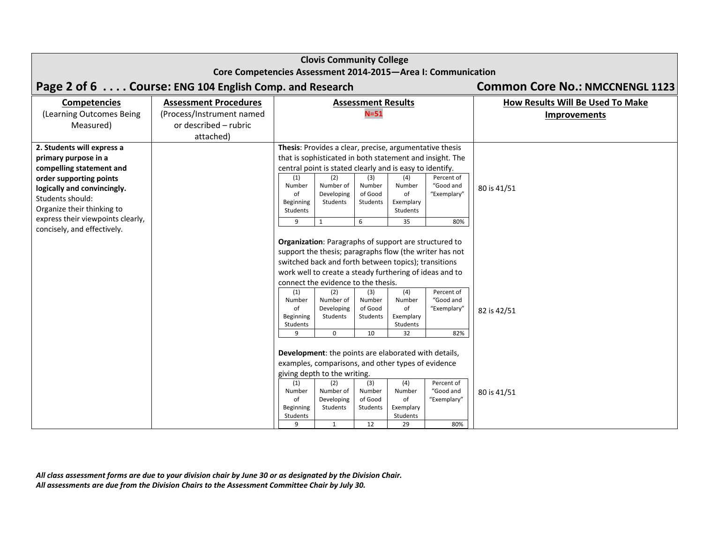|                                                     | <b>Clovis Community College</b>                              |                                                    |                                                                 |                           |                       |                                                          |                                  |  |
|-----------------------------------------------------|--------------------------------------------------------------|----------------------------------------------------|-----------------------------------------------------------------|---------------------------|-----------------------|----------------------------------------------------------|----------------------------------|--|
|                                                     | Core Competencies Assessment 2014-2015-Area I: Communication |                                                    |                                                                 |                           |                       |                                                          |                                  |  |
|                                                     | Page 2 of 6 Course: ENG 104 English Comp. and Research       | <b>Common Core No.: NMCCNENGL 1123</b>             |                                                                 |                           |                       |                                                          |                                  |  |
| <b>Competencies</b>                                 | <b>Assessment Procedures</b>                                 |                                                    |                                                                 | <b>Assessment Results</b> |                       |                                                          | How Results Will Be Used To Make |  |
| (Learning Outcomes Being                            | (Process/Instrument named                                    |                                                    |                                                                 | $N = 51$                  |                       |                                                          | <b>Improvements</b>              |  |
| Measured)                                           | or described - rubric                                        |                                                    |                                                                 |                           |                       |                                                          |                                  |  |
|                                                     | attached)                                                    |                                                    |                                                                 |                           |                       |                                                          |                                  |  |
| 2. Students will express a                          |                                                              |                                                    | Thesis: Provides a clear, precise, argumentative thesis         |                           |                       |                                                          |                                  |  |
| primary purpose in a                                |                                                              |                                                    |                                                                 |                           |                       | that is sophisticated in both statement and insight. The |                                  |  |
| compelling statement and<br>order supporting points |                                                              | (1)                                                | central point is stated clearly and is easy to identify.<br>(2) | (3)                       | (4)                   | Percent of                                               |                                  |  |
| logically and convincingly.                         |                                                              | Number                                             | Number of                                                       | Number                    | Number                | "Good and                                                | 80 is 41/51                      |  |
| Students should:                                    |                                                              | of                                                 | Developing                                                      | of Good                   | of                    | "Exemplary"                                              |                                  |  |
| Organize their thinking to                          |                                                              | Beginning<br>Students                              | Students                                                        | Students                  | Exemplary<br>Students |                                                          |                                  |  |
| express their viewpoints clearly,                   |                                                              | 9                                                  | 1                                                               | 6                         | 35                    | 80%                                                      |                                  |  |
| concisely, and effectively.                         |                                                              |                                                    |                                                                 |                           |                       |                                                          |                                  |  |
|                                                     |                                                              |                                                    | Organization: Paragraphs of support are structured to           |                           |                       |                                                          |                                  |  |
|                                                     |                                                              |                                                    |                                                                 |                           |                       | support the thesis; paragraphs flow (the writer has not  |                                  |  |
|                                                     |                                                              |                                                    | switched back and forth between topics); transitions            |                           |                       |                                                          |                                  |  |
|                                                     |                                                              |                                                    | work well to create a steady furthering of ideas and to         |                           |                       |                                                          |                                  |  |
|                                                     |                                                              |                                                    | connect the evidence to the thesis.                             |                           |                       |                                                          |                                  |  |
|                                                     |                                                              | (1)<br>Number                                      | (2)<br>Number of                                                | (3)<br>Number             | (4)<br>Number         | Percent of<br>"Good and                                  |                                  |  |
|                                                     |                                                              | of                                                 | Developing                                                      | of Good                   | of                    | "Exemplary"                                              | 82 is 42/51                      |  |
|                                                     |                                                              | Beginning                                          | Students                                                        | Students                  | Exemplary             |                                                          |                                  |  |
|                                                     |                                                              | Students<br>9                                      | 0                                                               | 10                        | Students<br>32        | 82%                                                      |                                  |  |
|                                                     |                                                              |                                                    |                                                                 |                           |                       |                                                          |                                  |  |
|                                                     |                                                              |                                                    | Development: the points are elaborated with details,            |                           |                       |                                                          |                                  |  |
|                                                     |                                                              | examples, comparisons, and other types of evidence |                                                                 |                           |                       |                                                          |                                  |  |
|                                                     |                                                              |                                                    | giving depth to the writing.                                    |                           |                       |                                                          |                                  |  |
|                                                     |                                                              | (1)<br>Number                                      | (2)<br>Number of                                                | (3)<br>Number             | (4)<br>Number         | Percent of<br>"Good and                                  |                                  |  |
|                                                     |                                                              | of                                                 | Developing                                                      | of Good                   | of                    | "Exemplary"                                              | 80 is 41/51                      |  |
|                                                     |                                                              | Beginning                                          | Students                                                        | Students                  | Exemplary             |                                                          |                                  |  |
|                                                     |                                                              | Students                                           |                                                                 | 12                        | Students              |                                                          |                                  |  |
|                                                     |                                                              | 9                                                  | 1                                                               |                           | 29                    | 80%                                                      |                                  |  |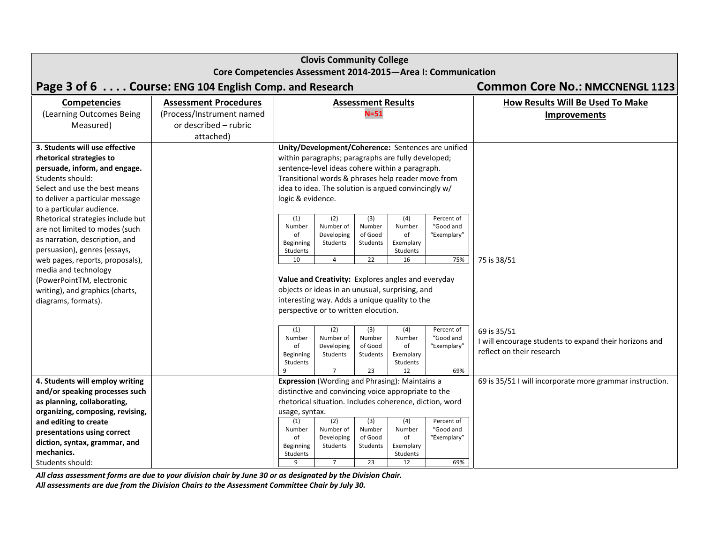| <b>Clovis Community College</b>                                |                                        |                                                     |                                                         |                           |                       |                                                    |                                                          |  |
|----------------------------------------------------------------|----------------------------------------|-----------------------------------------------------|---------------------------------------------------------|---------------------------|-----------------------|----------------------------------------------------|----------------------------------------------------------|--|
| Core Competencies Assessment 2014-2015-Area I: Communication   |                                        |                                                     |                                                         |                           |                       |                                                    |                                                          |  |
| Page 3 of 6 Course: ENG 104 English Comp. and Research         | <b>Common Core No.: NMCCNENGL 1123</b> |                                                     |                                                         |                           |                       |                                                    |                                                          |  |
| <b>Competencies</b>                                            | <b>Assessment Procedures</b>           |                                                     |                                                         | <b>Assessment Results</b> |                       |                                                    | How Results Will Be Used To Make                         |  |
| (Learning Outcomes Being                                       | (Process/Instrument named              |                                                     |                                                         | $N = 51$                  |                       |                                                    | <b>Improvements</b>                                      |  |
| Measured)                                                      | or described - rubric                  |                                                     |                                                         |                           |                       |                                                    |                                                          |  |
|                                                                | attached)                              |                                                     |                                                         |                           |                       |                                                    |                                                          |  |
| 3. Students will use effective                                 |                                        |                                                     |                                                         |                           |                       | Unity/Development/Coherence: Sentences are unified |                                                          |  |
| rhetorical strategies to                                       |                                        |                                                     | within paragraphs; paragraphs are fully developed;      |                           |                       |                                                    |                                                          |  |
| persuade, inform, and engage.                                  |                                        |                                                     | sentence-level ideas cohere within a paragraph.         |                           |                       |                                                    |                                                          |  |
| Students should:                                               |                                        |                                                     | Transitional words & phrases help reader move from      |                           |                       |                                                    |                                                          |  |
| Select and use the best means                                  |                                        |                                                     | idea to idea. The solution is argued convincingly w/    |                           |                       |                                                    |                                                          |  |
| to deliver a particular message                                |                                        | logic & evidence.                                   |                                                         |                           |                       |                                                    |                                                          |  |
| to a particular audience.<br>Rhetorical strategies include but |                                        | (1)                                                 | (2)                                                     | (3)                       | (4)                   | Percent of                                         |                                                          |  |
| are not limited to modes (such                                 |                                        | Number                                              | Number of                                               | Number                    | Number                | "Good and                                          |                                                          |  |
| as narration, description, and                                 |                                        | of                                                  | Developing                                              | of Good                   | of                    | "Exemplary"                                        |                                                          |  |
| persuasion), genres (essays,                                   |                                        | Beginning<br>Students                               | Students                                                | Students                  | Exemplary<br>Students |                                                    |                                                          |  |
| web pages, reports, proposals),                                |                                        | 10                                                  | $\overline{4}$                                          | 22                        | 16                    | 75%                                                | 75 is 38/51                                              |  |
| media and technology                                           |                                        |                                                     |                                                         |                           |                       |                                                    |                                                          |  |
| (PowerPointTM, electronic                                      |                                        |                                                     | Value and Creativity: Explores angles and everyday      |                           |                       |                                                    |                                                          |  |
| writing), and graphics (charts,                                |                                        |                                                     | objects or ideas in an unusual, surprising, and         |                           |                       |                                                    |                                                          |  |
| diagrams, formats).                                            |                                        | interesting way. Adds a unique quality to the       |                                                         |                           |                       |                                                    |                                                          |  |
|                                                                |                                        |                                                     | perspective or to written elocution.                    |                           |                       |                                                    |                                                          |  |
|                                                                |                                        | (1)                                                 | (2)                                                     | (3)                       | (4)                   | Percent of                                         | 69 is 35/51                                              |  |
|                                                                |                                        | Number                                              | Number of                                               | Number                    | Number                | "Good and                                          | I will encourage students to expand their horizons and   |  |
|                                                                |                                        | of                                                  | Developing                                              | of Good                   | of                    | "Exemplary"                                        | reflect on their research                                |  |
|                                                                |                                        | Beginning<br>Students                               | Students                                                | Students                  | Exemplary<br>Students |                                                    |                                                          |  |
|                                                                |                                        | q                                                   | $\overline{7}$                                          | 23                        | 12                    | 69%                                                |                                                          |  |
| 4. Students will employ writing                                |                                        |                                                     | <b>Expression</b> (Wording and Phrasing): Maintains a   |                           |                       |                                                    | 69 is 35/51 I will incorporate more grammar instruction. |  |
| and/or speaking processes such                                 |                                        | distinctive and convincing voice appropriate to the |                                                         |                           |                       |                                                    |                                                          |  |
| as planning, collaborating,                                    |                                        |                                                     | rhetorical situation. Includes coherence, diction, word |                           |                       |                                                    |                                                          |  |
| organizing, composing, revising,                               |                                        | usage, syntax.                                      |                                                         |                           |                       |                                                    |                                                          |  |
| and editing to create                                          |                                        | (1)                                                 | (2)                                                     | (3)                       | (4)                   | Percent of                                         |                                                          |  |
| presentations using correct                                    |                                        | Number<br>of                                        | Number of<br>Developing                                 | Number<br>of Good         | Number<br>of          | "Good and<br>"Exemplary"                           |                                                          |  |
| diction, syntax, grammar, and                                  |                                        | Beginning                                           | Students                                                | Students                  | Exemplary             |                                                    |                                                          |  |
| mechanics.                                                     |                                        | Students                                            |                                                         |                           | Students              |                                                    |                                                          |  |
| Students should:                                               |                                        | 9                                                   | $\overline{7}$                                          | 23                        | 12                    | 69%                                                |                                                          |  |

All class assessment forms are due to your division chair by June 30 or as designated by the Division Chair.

*All assessments are due from the Division Chairs to the Assessment Committee Chair by July 30.*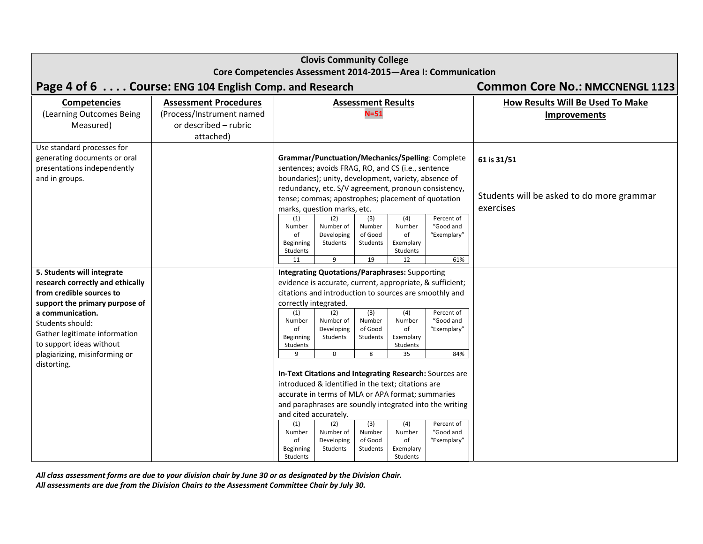|                                                                                                             | <b>Clovis Community College</b>                                 |                                                                                  |                                                                                                                                                                                                                                                         |                                            |                                                    |                                                           |                                                                       |  |  |
|-------------------------------------------------------------------------------------------------------------|-----------------------------------------------------------------|----------------------------------------------------------------------------------|---------------------------------------------------------------------------------------------------------------------------------------------------------------------------------------------------------------------------------------------------------|--------------------------------------------|----------------------------------------------------|-----------------------------------------------------------|-----------------------------------------------------------------------|--|--|
|                                                                                                             | Core Competencies Assessment 2014-2015-Area I: Communication    |                                                                                  |                                                                                                                                                                                                                                                         |                                            |                                                    |                                                           |                                                                       |  |  |
| Page 4 of 6 Course: ENG 104 English Comp. and Research                                                      |                                                                 |                                                                                  |                                                                                                                                                                                                                                                         |                                            |                                                    |                                                           | <b>Common Core No.: NMCCNENGL 1123</b>                                |  |  |
| <b>Competencies</b>                                                                                         | <b>Assessment Procedures</b>                                    |                                                                                  |                                                                                                                                                                                                                                                         | <b>Assessment Results</b>                  |                                                    |                                                           | <b>How Results Will Be Used To Make</b>                               |  |  |
| (Learning Outcomes Being<br>Measured)                                                                       | (Process/Instrument named<br>or described - rubric<br>attached) |                                                                                  |                                                                                                                                                                                                                                                         | $N = 51$                                   |                                                    |                                                           | <b>Improvements</b>                                                   |  |  |
| Use standard processes for<br>generating documents or oral<br>presentations independently<br>and in groups. |                                                                 |                                                                                  | sentences; avoids FRAG, RO, and CS (i.e., sentence<br>boundaries); unity, development, variety, absence of<br>redundancy, etc. S/V agreement, pronoun consistency,<br>tense; commas; apostrophes; placement of quotation<br>marks, question marks, etc. |                                            |                                                    | Grammar/Punctuation/Mechanics/Spelling: Complete          | 61 is 31/51<br>Students will be asked to do more grammar<br>exercises |  |  |
|                                                                                                             |                                                                 | (1)<br>Number<br>of<br>Beginning<br>Students<br>11                               | (2)<br>Number of<br>Developing<br>Students<br>9                                                                                                                                                                                                         | (3)<br>Number<br>of Good<br>Students<br>19 | (4)<br>Number<br>of<br>Exemplary<br>Students<br>12 | Percent of<br>"Good and<br>"Exemplary"<br>61%             |                                                                       |  |  |
| 5. Students will integrate                                                                                  |                                                                 |                                                                                  | <b>Integrating Quotations/Paraphrases: Supporting</b>                                                                                                                                                                                                   |                                            |                                                    |                                                           |                                                                       |  |  |
| research correctly and ethically                                                                            |                                                                 |                                                                                  |                                                                                                                                                                                                                                                         |                                            |                                                    | evidence is accurate, current, appropriate, & sufficient; |                                                                       |  |  |
| from credible sources to                                                                                    |                                                                 |                                                                                  | citations and introduction to sources are smoothly and                                                                                                                                                                                                  |                                            |                                                    |                                                           |                                                                       |  |  |
| support the primary purpose of                                                                              |                                                                 | correctly integrated.<br>(1)                                                     | (2)                                                                                                                                                                                                                                                     | (3)                                        | (4)                                                | Percent of                                                |                                                                       |  |  |
| a communication.<br>Students should:                                                                        |                                                                 | Number                                                                           | Number of                                                                                                                                                                                                                                               | Number                                     | Number                                             | "Good and                                                 |                                                                       |  |  |
| Gather legitimate information                                                                               |                                                                 | of<br>Beginning                                                                  | Developing<br>Students                                                                                                                                                                                                                                  | of Good<br>Students                        | of<br>Exemplary                                    | "Exemplary"                                               |                                                                       |  |  |
| to support ideas without                                                                                    |                                                                 | Students                                                                         |                                                                                                                                                                                                                                                         |                                            | Students                                           |                                                           |                                                                       |  |  |
| plagiarizing, misinforming or<br>distorting.                                                                |                                                                 | q                                                                                | 0                                                                                                                                                                                                                                                       | 8                                          | 35                                                 | 84%                                                       |                                                                       |  |  |
|                                                                                                             |                                                                 |                                                                                  |                                                                                                                                                                                                                                                         |                                            |                                                    | In-Text Citations and Integrating Research: Sources are   |                                                                       |  |  |
|                                                                                                             |                                                                 |                                                                                  | introduced & identified in the text; citations are                                                                                                                                                                                                      |                                            |                                                    |                                                           |                                                                       |  |  |
|                                                                                                             |                                                                 | accurate in terms of MLA or APA format; summaries                                |                                                                                                                                                                                                                                                         |                                            |                                                    |                                                           |                                                                       |  |  |
|                                                                                                             |                                                                 | and paraphrases are soundly integrated into the writing<br>and cited accurately. |                                                                                                                                                                                                                                                         |                                            |                                                    |                                                           |                                                                       |  |  |
|                                                                                                             |                                                                 | (1)<br>Number<br>of<br>Beginning<br>Students                                     | (2)<br>Number of<br>Developing<br>Students                                                                                                                                                                                                              | (3)<br>Number<br>of Good<br>Students       | (4)<br>Number<br>of<br>Exemplary<br>Students       | Percent of<br>"Good and<br>"Exemplary"                    |                                                                       |  |  |

All class assessment forms are due to your division chair by June 30 or as designated by the Division Chair.

*All assessments are due from the Division Chairs to the Assessment Committee Chair by July 30.*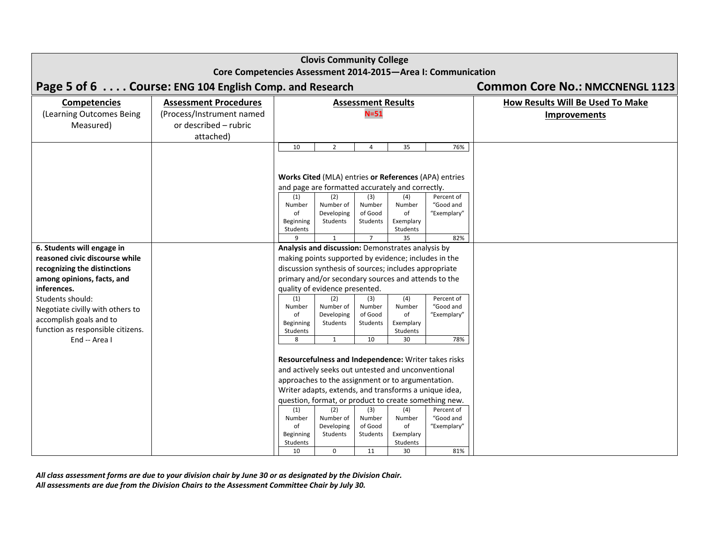|                                                              | <b>Clovis Community College</b>                        |                                                                                                               |                                                     |                           |                       |                                                       |                                  |  |
|--------------------------------------------------------------|--------------------------------------------------------|---------------------------------------------------------------------------------------------------------------|-----------------------------------------------------|---------------------------|-----------------------|-------------------------------------------------------|----------------------------------|--|
| Core Competencies Assessment 2014-2015-Area I: Communication |                                                        |                                                                                                               |                                                     |                           |                       |                                                       |                                  |  |
|                                                              | Page 5 of 6 Course: ENG 104 English Comp. and Research | <b>Common Core No.: NMCCNENGL 1123</b>                                                                        |                                                     |                           |                       |                                                       |                                  |  |
| <b>Competencies</b>                                          | <b>Assessment Procedures</b>                           |                                                                                                               |                                                     | <b>Assessment Results</b> |                       |                                                       | How Results Will Be Used To Make |  |
| (Learning Outcomes Being                                     | (Process/Instrument named                              |                                                                                                               |                                                     | $N = 51$                  |                       |                                                       | <b>Improvements</b>              |  |
| Measured)                                                    | or described - rubric                                  |                                                                                                               |                                                     |                           |                       |                                                       |                                  |  |
|                                                              | attached)                                              |                                                                                                               |                                                     |                           |                       |                                                       |                                  |  |
|                                                              |                                                        | 10                                                                                                            | $\overline{2}$                                      | $\overline{4}$            | 35                    | 76%                                                   |                                  |  |
|                                                              |                                                        |                                                                                                               |                                                     |                           |                       |                                                       |                                  |  |
|                                                              |                                                        |                                                                                                               |                                                     |                           |                       | Works Cited (MLA) entries or References (APA) entries |                                  |  |
|                                                              |                                                        |                                                                                                               | and page are formatted accurately and correctly.    |                           |                       |                                                       |                                  |  |
|                                                              |                                                        | (1)                                                                                                           | (2)                                                 | (3)                       | (4)                   | Percent of                                            |                                  |  |
|                                                              |                                                        | Number<br>of                                                                                                  | Number of<br>Developing                             | Number<br>of Good         | Number<br>of          | "Good and<br>"Exemplary"                              |                                  |  |
|                                                              |                                                        | Beginning                                                                                                     | Students                                            | Students                  | Exemplary             |                                                       |                                  |  |
|                                                              |                                                        | Students<br>q                                                                                                 |                                                     | $\overline{7}$            | Students<br>35        | 82%                                                   |                                  |  |
| 6. Students will engage in                                   |                                                        |                                                                                                               | Analysis and discussion: Demonstrates analysis by   |                           |                       |                                                       |                                  |  |
| reasoned civic discourse while                               |                                                        |                                                                                                               |                                                     |                           |                       |                                                       |                                  |  |
| recognizing the distinctions                                 |                                                        | making points supported by evidence; includes in the<br>discussion synthesis of sources; includes appropriate |                                                     |                           |                       |                                                       |                                  |  |
| among opinions, facts, and                                   |                                                        |                                                                                                               | primary and/or secondary sources and attends to the |                           |                       |                                                       |                                  |  |
| inferences.                                                  |                                                        |                                                                                                               | quality of evidence presented.                      |                           |                       |                                                       |                                  |  |
| Students should:                                             |                                                        | (1)                                                                                                           | (2)<br>Number of                                    | (3)<br>Number             | (4)<br>Number         | Percent of<br>"Good and                               |                                  |  |
| Negotiate civilly with others to                             |                                                        | Number<br>of                                                                                                  | Developing                                          | of Good                   | of                    | "Exemplary"                                           |                                  |  |
| accomplish goals and to                                      |                                                        | Beginning                                                                                                     | Students                                            | Students                  | Exemplary             |                                                       |                                  |  |
| function as responsible citizens.<br>End -- Area I           |                                                        | Students<br>8                                                                                                 | $\mathbf{1}$                                        | 10                        | Students<br>30        | 78%                                                   |                                  |  |
|                                                              |                                                        |                                                                                                               |                                                     |                           |                       |                                                       |                                  |  |
|                                                              |                                                        |                                                                                                               |                                                     |                           |                       | Resourcefulness and Independence: Writer takes risks  |                                  |  |
|                                                              |                                                        | and actively seeks out untested and unconventional                                                            |                                                     |                           |                       |                                                       |                                  |  |
|                                                              |                                                        | approaches to the assignment or to argumentation.                                                             |                                                     |                           |                       |                                                       |                                  |  |
|                                                              |                                                        | Writer adapts, extends, and transforms a unique idea,                                                         |                                                     |                           |                       |                                                       |                                  |  |
|                                                              |                                                        | question, format, or product to create something new.                                                         |                                                     |                           |                       |                                                       |                                  |  |
|                                                              |                                                        | (1)<br>Number                                                                                                 | (2)<br>Number of                                    | (3)<br>Number             | (4)<br>Number         | Percent of<br>"Good and                               |                                  |  |
|                                                              |                                                        | of                                                                                                            | Developing                                          | of Good                   | of                    | "Exemplary"                                           |                                  |  |
|                                                              |                                                        | Beginning<br>Students                                                                                         | Students                                            | Students                  | Exemplary<br>Students |                                                       |                                  |  |
|                                                              |                                                        | 10                                                                                                            | 0                                                   | 11                        | 30                    | 81%                                                   |                                  |  |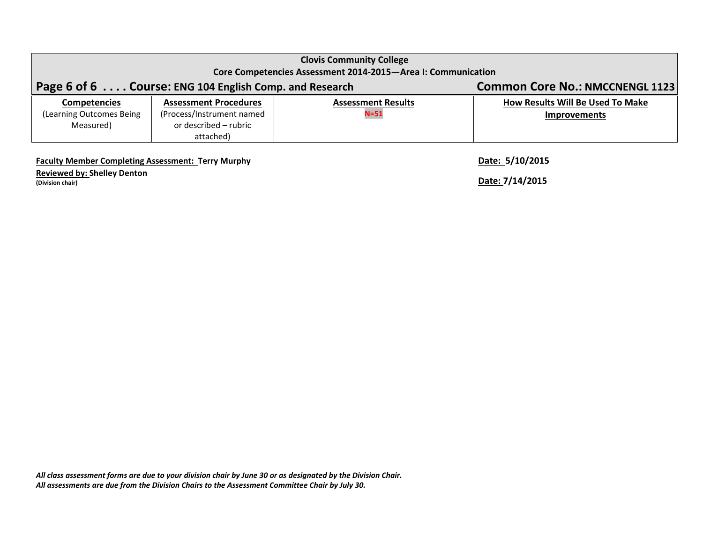|                                                              | <b>Clovis Community College</b>                        |                                        |                                  |  |  |  |  |
|--------------------------------------------------------------|--------------------------------------------------------|----------------------------------------|----------------------------------|--|--|--|--|
| Core Competencies Assessment 2014-2015-Area I: Communication |                                                        |                                        |                                  |  |  |  |  |
|                                                              | Page 6 of 6 Course: ENG 104 English Comp. and Research | <b>Common Core No.: NMCCNENGL 1123</b> |                                  |  |  |  |  |
| <b>Competencies</b>                                          | <b>Assessment Procedures</b>                           | <b>Assessment Results</b>              | How Results Will Be Used To Make |  |  |  |  |
| (Learning Outcomes Being                                     | (Process/Instrument named                              | $N = 51$                               | <b>Improvements</b>              |  |  |  |  |
| Measured)                                                    | or described – rubric                                  |                                        |                                  |  |  |  |  |
|                                                              | attached)                                              |                                        |                                  |  |  |  |  |

**Faculty Member Completing Assessment: Terry Murphy Date: 5/10/2015**

**Reviewed by: Shelley Denton (Division chair) Date: 7/14/2015**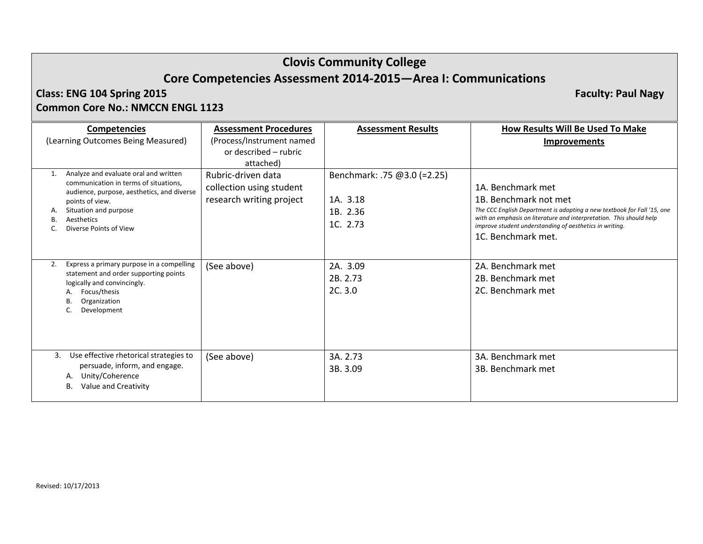# **Clovis Community College Core Competencies Assessment 2014‐2015—Area I: Communications**

П

## **Class: ENGCommon Core No.: NMCCN ENGL 1123**

**104 Spring 2015 Faculty: Paul Nagy**

| <b>Competencies</b><br>(Learning Outcomes Being Measured)                                                                                                                                                        | <b>Assessment Procedures</b><br>(Process/Instrument named<br>or described – rubric<br>attached) | <b>Assessment Results</b>                                       | How Results Will Be Used To Make<br><b>Improvements</b>                                                                                                                                                                                                                       |
|------------------------------------------------------------------------------------------------------------------------------------------------------------------------------------------------------------------|-------------------------------------------------------------------------------------------------|-----------------------------------------------------------------|-------------------------------------------------------------------------------------------------------------------------------------------------------------------------------------------------------------------------------------------------------------------------------|
| Analyze and evaluate oral and written<br>communication in terms of situations,<br>audience, purpose, aesthetics, and diverse<br>points of view.<br>Situation and purpose<br>Aesthetics<br>Diverse Points of View | Rubric-driven data<br>collection using student<br>research writing project                      | Benchmark: .75 @3.0 (=2.25)<br>1A. 3.18<br>1B. 2.36<br>1C. 2.73 | 1A. Benchmark met<br>1B. Benchmark not met<br>The CCC English Department is adopting a new textbook for Fall '15, one<br>with an emphasis on literature and interpretation. This should help<br>improve student understanding of aesthetics in writing.<br>1C. Benchmark met. |
| Express a primary purpose in a compelling<br>2.<br>statement and order supporting points<br>logically and convincingly.<br>Focus/thesis<br>Organization<br>В.<br>Development                                     | (See above)                                                                                     | 2A. 3.09<br>2B. 2.73<br>2C.3.0                                  | 2A. Benchmark met<br>2B. Benchmark met<br>2C. Benchmark met                                                                                                                                                                                                                   |
| Use effective rhetorical strategies to<br>3.<br>persuade, inform, and engage.<br>Unity/Coherence<br>А.<br>Value and Creativity<br>В.                                                                             | (See above)                                                                                     | 3A. 2.73<br>3B. 3.09                                            | 3A. Benchmark met<br>3B. Benchmark met                                                                                                                                                                                                                                        |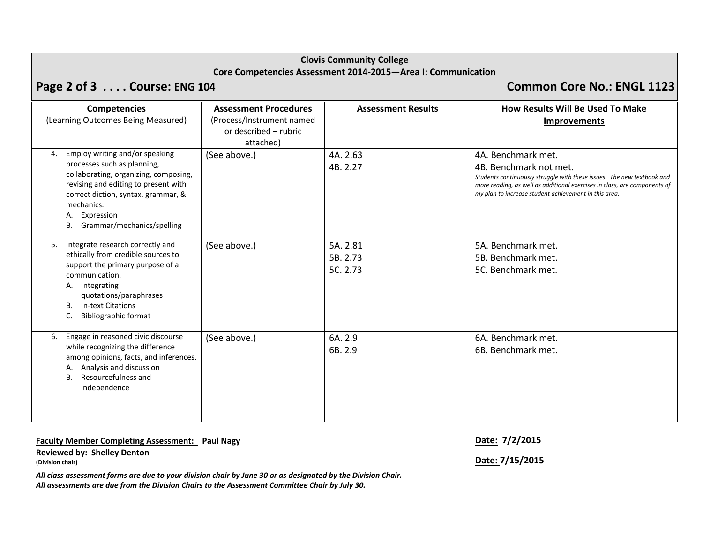## **Clovis Community College Core Competencies Assessment 2014‐2015—Area I: Communication**

# **Page 2 of 3 . . . . Course: ENG <sup>104</sup> Common Core No.: ENGL 1123**

|                | <b>Competencies</b>                                                                                                                                                                                                                                | <b>Assessment Procedures</b> | <b>Assessment Results</b>        | How Results Will Be Used To Make                                                                                                                                                                                                                             |
|----------------|----------------------------------------------------------------------------------------------------------------------------------------------------------------------------------------------------------------------------------------------------|------------------------------|----------------------------------|--------------------------------------------------------------------------------------------------------------------------------------------------------------------------------------------------------------------------------------------------------------|
|                | (Learning Outcomes Being Measured)                                                                                                                                                                                                                 | (Process/Instrument named    |                                  | <b>Improvements</b>                                                                                                                                                                                                                                          |
|                |                                                                                                                                                                                                                                                    | or described - rubric        |                                  |                                                                                                                                                                                                                                                              |
|                |                                                                                                                                                                                                                                                    | attached)                    |                                  |                                                                                                                                                                                                                                                              |
| 4.<br>В.       | Employ writing and/or speaking<br>processes such as planning,<br>collaborating, organizing, composing,<br>revising and editing to present with<br>correct diction, syntax, grammar, &<br>mechanics.<br>A. Expression<br>Grammar/mechanics/spelling | (See above.)                 | 4A. 2.63<br>4B. 2.27             | 4A. Benchmark met.<br>4B. Benchmark not met.<br>Students continuously struggle with these issues. The new textbook and<br>more reading, as well as additional exercises in class, are components of<br>my plan to increase student achievement in this area. |
| 5.<br>В.<br>c. | Integrate research correctly and<br>ethically from credible sources to<br>support the primary purpose of a<br>communication.<br>A. Integrating<br>quotations/paraphrases<br><b>In-text Citations</b><br><b>Bibliographic format</b>                | (See above.)                 | 5A. 2.81<br>5B. 2.73<br>5C. 2.73 | 5A. Benchmark met.<br>5B. Benchmark met.<br>5C. Benchmark met.                                                                                                                                                                                               |
| 6.<br>А.<br>В. | Engage in reasoned civic discourse<br>while recognizing the difference<br>among opinions, facts, and inferences.<br>Analysis and discussion<br>Resourcefulness and<br>independence                                                                 | (See above.)                 | 6A. 2.9<br>6B. 2.9               | 6A. Benchmark met.<br>6B. Benchmark met.                                                                                                                                                                                                                     |

**Faculty Member Completing Assessment: Paul Nagy Date: 7/2/2015**

**Reviewed by: Shelley Denton (Division chair) Date: 7/15/2015**